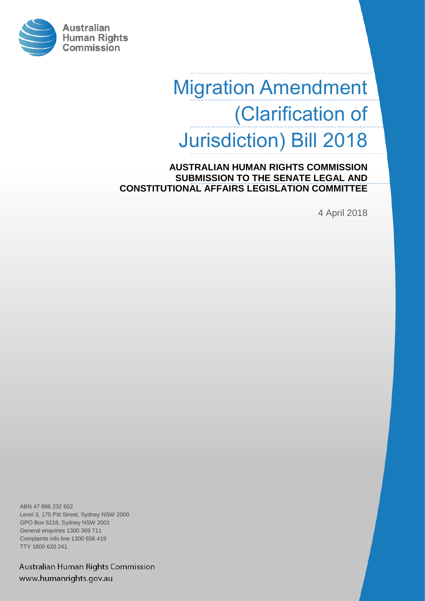

# Migration Amendment (Clarification of Jurisdiction) Bill 2018

Migration Amendment **CONSTITUTIONAL AFFAIRS LEGISLATION COMMITTEE AUSTRALIAN HUMAN RIGHTS COMMISSION SUBMISSION TO THE SENATE LEGAL AND** 

(Clarification of April 2018)<br>
4 April 2018

ABN 47 996 232 602 Level 3, 175 Pitt Street, Sydney NSW 2000 GPO Box 5218, Sydney NSW 2001 General enquiries 1300 369 711 Complaints info line 1300 656 419 TTY 1800 620 241

Australian Human Rights Commission www.humanrights.gov.au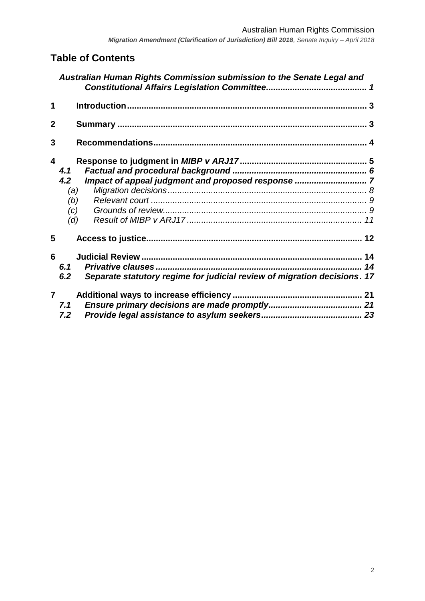*Migration Amendment (Clarification of Jurisdiction) Bill 2018, Senate Inquiry – April 2018*

# **Table of Contents**

|              | Australian Human Rights Commission submission to the Senate Legal and           |    |
|--------------|---------------------------------------------------------------------------------|----|
| 1            |                                                                                 |    |
| $\mathbf 2$  |                                                                                 |    |
| 3            |                                                                                 |    |
| 4            |                                                                                 |    |
|              | 4.1                                                                             |    |
|              | 4.2                                                                             |    |
|              | (a)                                                                             |    |
|              | (b)                                                                             |    |
|              | (c)                                                                             |    |
|              | (d)                                                                             |    |
| 5            |                                                                                 |    |
| 6            |                                                                                 |    |
|              | 6.1                                                                             | 14 |
|              | Separate statutory regime for judicial review of migration decisions. 17<br>6.2 |    |
| $\mathbf{7}$ |                                                                                 |    |
|              | 7.1                                                                             |    |
|              | 7.2                                                                             |    |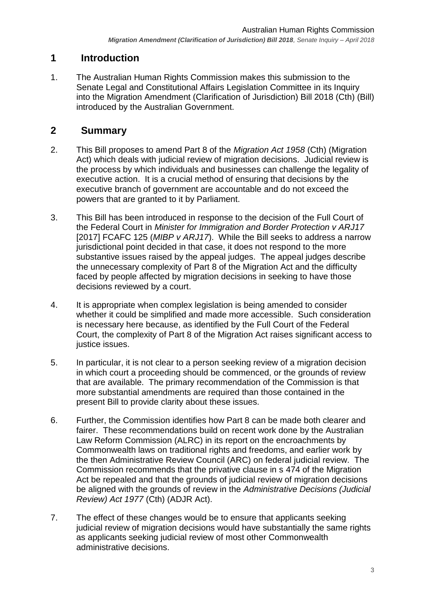# <span id="page-2-0"></span>**1 Introduction**

1. The Australian Human Rights Commission makes this submission to the Senate Legal and Constitutional Affairs Legislation Committee in its Inquiry into the Migration Amendment (Clarification of Jurisdiction) Bill 2018 (Cth) (Bill) introduced by the Australian Government.

# <span id="page-2-1"></span>**2 Summary**

- 2. This Bill proposes to amend Part 8 of the *Migration Act 1958* (Cth) (Migration Act) which deals with judicial review of migration decisions. Judicial review is the process by which individuals and businesses can challenge the legality of executive action. It is a crucial method of ensuring that decisions by the executive branch of government are accountable and do not exceed the powers that are granted to it by Parliament.
- 3. This Bill has been introduced in response to the decision of the Full Court of the Federal Court in *Minister for Immigration and Border Protection v ARJ17* [2017] FCAFC 125 (*MIBP v ARJ17*). While the Bill seeks to address a narrow jurisdictional point decided in that case, it does not respond to the more substantive issues raised by the appeal judges. The appeal judges describe the unnecessary complexity of Part 8 of the Migration Act and the difficulty faced by people affected by migration decisions in seeking to have those decisions reviewed by a court.
- 4. It is appropriate when complex legislation is being amended to consider whether it could be simplified and made more accessible. Such consideration is necessary here because, as identified by the Full Court of the Federal Court, the complexity of Part 8 of the Migration Act raises significant access to justice issues.
- 5. In particular, it is not clear to a person seeking review of a migration decision in which court a proceeding should be commenced, or the grounds of review that are available. The primary recommendation of the Commission is that more substantial amendments are required than those contained in the present Bill to provide clarity about these issues.
- 6. Further, the Commission identifies how Part 8 can be made both clearer and fairer. These recommendations build on recent work done by the Australian Law Reform Commission (ALRC) in its report on the encroachments by Commonwealth laws on traditional rights and freedoms, and earlier work by the then Administrative Review Council (ARC) on federal judicial review. The Commission recommends that the privative clause in s 474 of the Migration Act be repealed and that the grounds of judicial review of migration decisions be aligned with the grounds of review in the *Administrative Decisions (Judicial Review) Act 1977* (Cth) (ADJR Act).
- 7. The effect of these changes would be to ensure that applicants seeking judicial review of migration decisions would have substantially the same rights as applicants seeking judicial review of most other Commonwealth administrative decisions.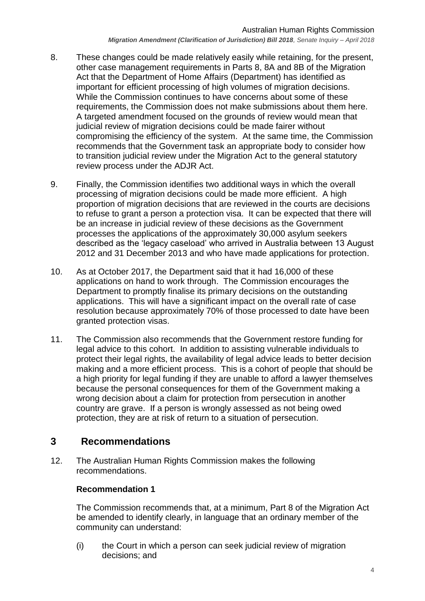- 8. These changes could be made relatively easily while retaining, for the present, other case management requirements in Parts 8, 8A and 8B of the Migration Act that the Department of Home Affairs (Department) has identified as important for efficient processing of high volumes of migration decisions. While the Commission continues to have concerns about some of these requirements, the Commission does not make submissions about them here. A targeted amendment focused on the grounds of review would mean that judicial review of migration decisions could be made fairer without compromising the efficiency of the system. At the same time, the Commission recommends that the Government task an appropriate body to consider how to transition judicial review under the Migration Act to the general statutory review process under the ADJR Act.
- 9. Finally, the Commission identifies two additional ways in which the overall processing of migration decisions could be made more efficient. A high proportion of migration decisions that are reviewed in the courts are decisions to refuse to grant a person a protection visa. It can be expected that there will be an increase in judicial review of these decisions as the Government processes the applications of the approximately 30,000 asylum seekers described as the 'legacy caseload' who arrived in Australia between 13 August 2012 and 31 December 2013 and who have made applications for protection.
- 10. As at October 2017, the Department said that it had 16,000 of these applications on hand to work through. The Commission encourages the Department to promptly finalise its primary decisions on the outstanding applications. This will have a significant impact on the overall rate of case resolution because approximately 70% of those processed to date have been granted protection visas.
- 11. The Commission also recommends that the Government restore funding for legal advice to this cohort. In addition to assisting vulnerable individuals to protect their legal rights, the availability of legal advice leads to better decision making and a more efficient process. This is a cohort of people that should be a high priority for legal funding if they are unable to afford a lawyer themselves because the personal consequences for them of the Government making a wrong decision about a claim for protection from persecution in another country are grave. If a person is wrongly assessed as not being owed protection, they are at risk of return to a situation of persecution.

# <span id="page-3-0"></span>**3 Recommendations**

12. The Australian Human Rights Commission makes the following recommendations.

## **Recommendation 1**

The Commission recommends that, at a minimum, Part 8 of the Migration Act be amended to identify clearly, in language that an ordinary member of the community can understand:

(i) the Court in which a person can seek judicial review of migration decisions; and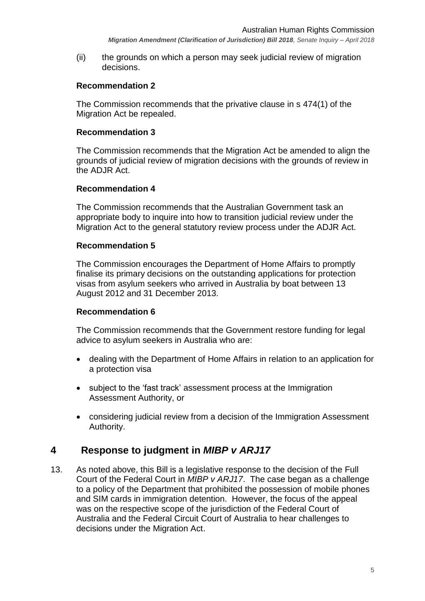*Migration Amendment (Clarification of Jurisdiction) Bill 2018, Senate Inquiry – April 2018*

(ii) the grounds on which a person may seek judicial review of migration decisions.

#### **Recommendation 2**

The Commission recommends that the privative clause in s 474(1) of the Migration Act be repealed.

#### **Recommendation 3**

The Commission recommends that the Migration Act be amended to align the grounds of judicial review of migration decisions with the grounds of review in the ADJR Act.

#### **Recommendation 4**

The Commission recommends that the Australian Government task an appropriate body to inquire into how to transition judicial review under the Migration Act to the general statutory review process under the ADJR Act.

#### **Recommendation 5**

The Commission encourages the Department of Home Affairs to promptly finalise its primary decisions on the outstanding applications for protection visas from asylum seekers who arrived in Australia by boat between 13 August 2012 and 31 December 2013.

#### **Recommendation 6**

The Commission recommends that the Government restore funding for legal advice to asylum seekers in Australia who are:

- dealing with the Department of Home Affairs in relation to an application for a protection visa
- subject to the 'fast track' assessment process at the Immigration Assessment Authority, or
- considering judicial review from a decision of the Immigration Assessment Authority.

## <span id="page-4-0"></span>**4 Response to judgment in** *MIBP v ARJ17*

13. As noted above, this Bill is a legislative response to the decision of the Full Court of the Federal Court in *MIBP v ARJ17*. The case began as a challenge to a policy of the Department that prohibited the possession of mobile phones and SIM cards in immigration detention. However, the focus of the appeal was on the respective scope of the jurisdiction of the Federal Court of Australia and the Federal Circuit Court of Australia to hear challenges to decisions under the Migration Act.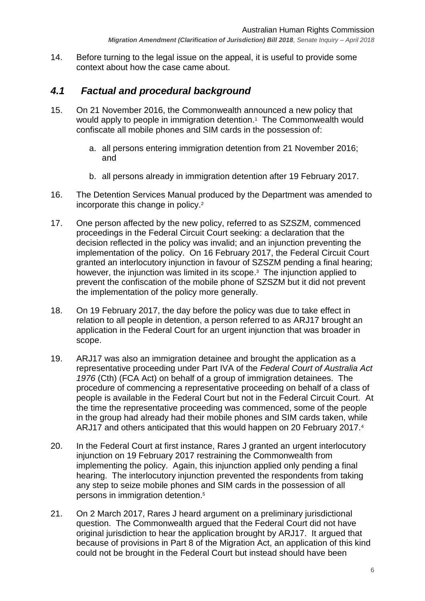14. Before turning to the legal issue on the appeal, it is useful to provide some context about how the case came about.

# <span id="page-5-0"></span>*4.1 Factual and procedural background*

- 15. On 21 November 2016, the Commonwealth announced a new policy that would apply to people in immigration detention.<sup>1</sup> The Commonwealth would confiscate all mobile phones and SIM cards in the possession of:
	- a. all persons entering immigration detention from 21 November 2016; and
	- b. all persons already in immigration detention after 19 February 2017.
- 16. The Detention Services Manual produced by the Department was amended to incorporate this change in policy. 2
- 17. One person affected by the new policy, referred to as SZSZM, commenced proceedings in the Federal Circuit Court seeking: a declaration that the decision reflected in the policy was invalid; and an injunction preventing the implementation of the policy. On 16 February 2017, the Federal Circuit Court granted an interlocutory injunction in favour of SZSZM pending a final hearing; however, the injunction was limited in its scope. 3 The injunction applied to prevent the confiscation of the mobile phone of SZSZM but it did not prevent the implementation of the policy more generally.
- 18. On 19 February 2017, the day before the policy was due to take effect in relation to all people in detention, a person referred to as ARJ17 brought an application in the Federal Court for an urgent injunction that was broader in scope.
- 19. ARJ17 was also an immigration detainee and brought the application as a representative proceeding under Part IVA of the *Federal Court of Australia Act 1976* (Cth) (FCA Act) on behalf of a group of immigration detainees. The procedure of commencing a representative proceeding on behalf of a class of people is available in the Federal Court but not in the Federal Circuit Court. At the time the representative proceeding was commenced, some of the people in the group had already had their mobile phones and SIM cards taken, while ARJ17 and others anticipated that this would happen on 20 February 2017.<sup>4</sup>
- 20. In the Federal Court at first instance, Rares J granted an urgent interlocutory injunction on 19 February 2017 restraining the Commonwealth from implementing the policy. Again, this injunction applied only pending a final hearing. The interlocutory injunction prevented the respondents from taking any step to seize mobile phones and SIM cards in the possession of all persons in immigration detention.<sup>5</sup>
- 21. On 2 March 2017, Rares J heard argument on a preliminary jurisdictional question. The Commonwealth argued that the Federal Court did not have original jurisdiction to hear the application brought by ARJ17. It argued that because of provisions in Part 8 of the Migration Act, an application of this kind could not be brought in the Federal Court but instead should have been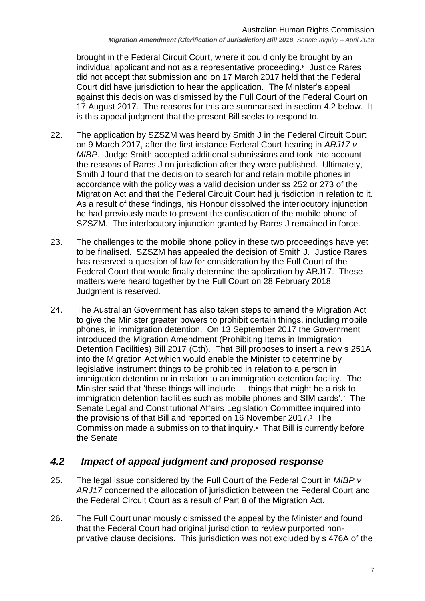brought in the Federal Circuit Court, where it could only be brought by an individual applicant and not as a representative proceeding.<sup>6</sup> Justice Rares did not accept that submission and on 17 March 2017 held that the Federal Court did have jurisdiction to hear the application. The Minister's appeal against this decision was dismissed by the Full Court of the Federal Court on 17 August 2017. The reasons for this are summarised in section [4.2](#page-6-0) below. It is this appeal judgment that the present Bill seeks to respond to.

- 22. The application by SZSZM was heard by Smith J in the Federal Circuit Court on 9 March 2017, after the first instance Federal Court hearing in *ARJ17 v MIBP*. Judge Smith accepted additional submissions and took into account the reasons of Rares J on jurisdiction after they were published. Ultimately, Smith J found that the decision to search for and retain mobile phones in accordance with the policy was a valid decision under ss 252 or 273 of the Migration Act and that the Federal Circuit Court had jurisdiction in relation to it. As a result of these findings, his Honour dissolved the interlocutory injunction he had previously made to prevent the confiscation of the mobile phone of SZSZM. The interlocutory injunction granted by Rares J remained in force.
- 23. The challenges to the mobile phone policy in these two proceedings have yet to be finalised. SZSZM has appealed the decision of Smith J. Justice Rares has reserved a question of law for consideration by the Full Court of the Federal Court that would finally determine the application by ARJ17. These matters were heard together by the Full Court on 28 February 2018. Judgment is reserved.
- 24. The Australian Government has also taken steps to amend the Migration Act to give the Minister greater powers to prohibit certain things, including mobile phones, in immigration detention. On 13 September 2017 the Government introduced the Migration Amendment (Prohibiting Items in Immigration Detention Facilities) Bill 2017 (Cth). That Bill proposes to insert a new s 251A into the Migration Act which would enable the Minister to determine by legislative instrument things to be prohibited in relation to a person in immigration detention or in relation to an immigration detention facility. The Minister said that 'these things will include … things that might be a risk to immigration detention facilities such as mobile phones and SIM cards'.<sup>7</sup> The Senate Legal and Constitutional Affairs Legislation Committee inquired into the provisions of that Bill and reported on 16 November 2017.<sup>8</sup> The Commission made a submission to that inquiry.<sup>9</sup> That Bill is currently before the Senate.

# <span id="page-6-0"></span>*4.2 Impact of appeal judgment and proposed response*

- 25. The legal issue considered by the Full Court of the Federal Court in *MIBP v ARJ17* concerned the allocation of jurisdiction between the Federal Court and the Federal Circuit Court as a result of Part 8 of the Migration Act.
- 26. The Full Court unanimously dismissed the appeal by the Minister and found that the Federal Court had original jurisdiction to review purported nonprivative clause decisions. This jurisdiction was not excluded by s 476A of the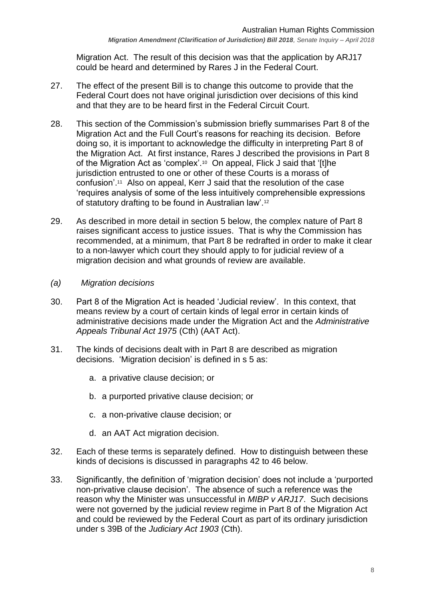Migration Act. The result of this decision was that the application by ARJ17 could be heard and determined by Rares J in the Federal Court.

- 27. The effect of the present Bill is to change this outcome to provide that the Federal Court does not have original jurisdiction over decisions of this kind and that they are to be heard first in the Federal Circuit Court.
- 28. This section of the Commission's submission briefly summarises Part 8 of the Migration Act and the Full Court's reasons for reaching its decision. Before doing so, it is important to acknowledge the difficulty in interpreting Part 8 of the Migration Act. At first instance, Rares J described the provisions in Part 8 of the Migration Act as 'complex'.<sup>10</sup> On appeal, Flick J said that '[t]he jurisdiction entrusted to one or other of these Courts is a morass of confusion'.<sup>11</sup> Also on appeal, Kerr J said that the resolution of the case 'requires analysis of some of the less intuitively comprehensible expressions of statutory drafting to be found in Australian law'.<sup>12</sup>
- 29. As described in more detail in section [5](#page-11-0) below, the complex nature of Part 8 raises significant access to justice issues. That is why the Commission has recommended, at a minimum, that Part 8 be redrafted in order to make it clear to a non-lawyer which court they should apply to for judicial review of a migration decision and what grounds of review are available.
- <span id="page-7-0"></span>*(a) Migration decisions*
- 30. Part 8 of the Migration Act is headed 'Judicial review'. In this context, that means review by a court of certain kinds of legal error in certain kinds of administrative decisions made under the Migration Act and the *Administrative Appeals Tribunal Act 1975* (Cth) (AAT Act).
- 31. The kinds of decisions dealt with in Part 8 are described as migration decisions. 'Migration decision' is defined in s 5 as:
	- a. a privative clause decision; or
	- b. a purported privative clause decision; or
	- c. a non-privative clause decision; or
	- d. an AAT Act migration decision.
- 32. Each of these terms is separately defined. How to distinguish between these kinds of decisions is discussed in paragraphs [42](#page-8-2) to [46](#page-9-0) below.
- 33. Significantly, the definition of 'migration decision' does not include a 'purported non-privative clause decision'. The absence of such a reference was the reason why the Minister was unsuccessful in *MIBP v ARJ17*. Such decisions were not governed by the judicial review regime in Part 8 of the Migration Act and could be reviewed by the Federal Court as part of its ordinary jurisdiction under s 39B of the *Judiciary Act 1903* (Cth).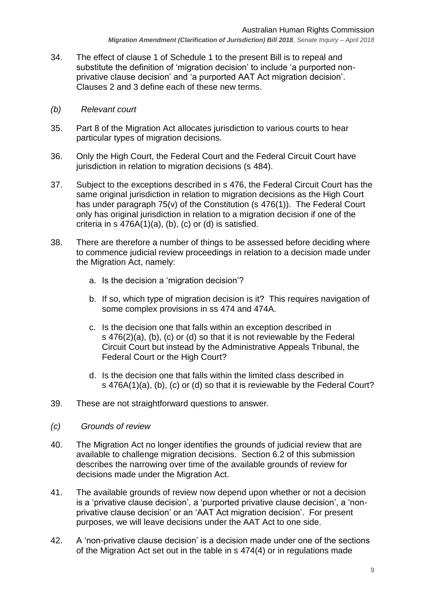- 34. The effect of clause 1 of Schedule 1 to the present Bill is to repeal and substitute the definition of 'migration decision' to include 'a purported nonprivative clause decision' and 'a purported AAT Act migration decision'. Clauses 2 and 3 define each of these new terms.
- <span id="page-8-0"></span>*(b) Relevant court*
- 35. Part 8 of the Migration Act allocates jurisdiction to various courts to hear particular types of migration decisions.
- 36. Only the High Court, the Federal Court and the Federal Circuit Court have jurisdiction in relation to migration decisions (s 484).
- 37. Subject to the exceptions described in s 476, the Federal Circuit Court has the same original jurisdiction in relation to migration decisions as the High Court has under paragraph 75(v) of the Constitution (s 476(1)). The Federal Court only has original jurisdiction in relation to a migration decision if one of the criteria in s 476A(1)(a), (b), (c) or (d) is satisfied.
- 38. There are therefore a number of things to be assessed before deciding where to commence judicial review proceedings in relation to a decision made under the Migration Act, namely:
	- a. Is the decision a 'migration decision'?
	- b. If so, which type of migration decision is it? This requires navigation of some complex provisions in ss 474 and 474A.
	- c. Is the decision one that falls within an exception described in s 476(2)(a), (b), (c) or (d) so that it is not reviewable by the Federal Circuit Court but instead by the Administrative Appeals Tribunal, the Federal Court or the High Court?
	- d. Is the decision one that falls within the limited class described in s 476A(1)(a), (b), (c) or (d) so that it is reviewable by the Federal Court?
- 39. These are not straightforward questions to answer.
- <span id="page-8-1"></span>*(c) Grounds of review*
- 40. The Migration Act no longer identifies the grounds of judicial review that are available to challenge migration decisions. Section [6.2](#page-16-0) of this submission describes the narrowing over time of the available grounds of review for decisions made under the Migration Act.
- 41. The available grounds of review now depend upon whether or not a decision is a 'privative clause decision', a 'purported privative clause decision', a 'nonprivative clause decision' or an 'AAT Act migration decision'. For present purposes, we will leave decisions under the AAT Act to one side.
- <span id="page-8-2"></span>42. A 'non-privative clause decision' is a decision made under one of the sections of the Migration Act set out in the table in s 474(4) or in regulations made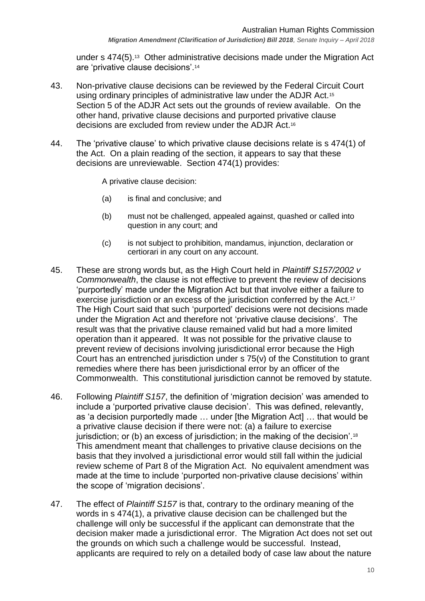under s 474(5).<sup>13</sup> Other administrative decisions made under the Migration Act are 'privative clause decisions'.<sup>14</sup>

- 43. Non-privative clause decisions can be reviewed by the Federal Circuit Court using ordinary principles of administrative law under the ADJR Act.<sup>15</sup> Section 5 of the ADJR Act sets out the grounds of review available. On the other hand, privative clause decisions and purported privative clause decisions are excluded from review under the ADJR Act.<sup>16</sup>
- 44. The 'privative clause' to which privative clause decisions relate is s 474(1) of the Act. On a plain reading of the section, it appears to say that these decisions are unreviewable. Section 474(1) provides:

A privative clause decision:

- (a) is final and conclusive; and
- (b) must not be challenged, appealed against, quashed or called into question in any court; and
- (c) is not subject to prohibition, mandamus, injunction, declaration or certiorari in any court on any account.
- 45. These are strong words but, as the High Court held in *Plaintiff S157/2002 v Commonwealth*, the clause is not effective to prevent the review of decisions 'purportedly' made under the Migration Act but that involve either a failure to exercise jurisdiction or an excess of the jurisdiction conferred by the Act.<sup>17</sup> The High Court said that such 'purported' decisions were not decisions made under the Migration Act and therefore not 'privative clause decisions'. The result was that the privative clause remained valid but had a more limited operation than it appeared. It was not possible for the privative clause to prevent review of decisions involving jurisdictional error because the High Court has an entrenched jurisdiction under s 75(v) of the Constitution to grant remedies where there has been jurisdictional error by an officer of the Commonwealth. This constitutional jurisdiction cannot be removed by statute.
- <span id="page-9-0"></span>46. Following *Plaintiff S157*, the definition of 'migration decision' was amended to include a 'purported privative clause decision'. This was defined, relevantly, as 'a decision purportedly made … under [the Migration Act] … that would be a privative clause decision if there were not: (a) a failure to exercise jurisdiction; or (b) an excess of jurisdiction; in the making of the decision'.<sup>18</sup> This amendment meant that challenges to privative clause decisions on the basis that they involved a jurisdictional error would still fall within the judicial review scheme of Part 8 of the Migration Act. No equivalent amendment was made at the time to include 'purported non-privative clause decisions' within the scope of 'migration decisions'.
- 47. The effect of *Plaintiff S157* is that, contrary to the ordinary meaning of the words in s 474(1), a privative clause decision can be challenged but the challenge will only be successful if the applicant can demonstrate that the decision maker made a jurisdictional error. The Migration Act does not set out the grounds on which such a challenge would be successful. Instead, applicants are required to rely on a detailed body of case law about the nature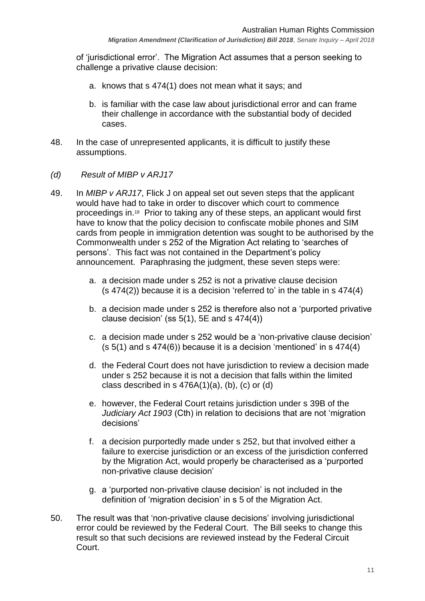*Migration Amendment (Clarification of Jurisdiction) Bill 2018, Senate Inquiry – April 2018*

of 'jurisdictional error'. The Migration Act assumes that a person seeking to challenge a privative clause decision:

- a. knows that s 474(1) does not mean what it says; and
- b. is familiar with the case law about jurisdictional error and can frame their challenge in accordance with the substantial body of decided cases.
- 48. In the case of unrepresented applicants, it is difficult to justify these assumptions.
- <span id="page-10-0"></span>*(d) Result of MIBP v ARJ17*
- 49. In *MIBP v ARJ17*, Flick J on appeal set out seven steps that the applicant would have had to take in order to discover which court to commence proceedings in.<sup>19</sup> Prior to taking any of these steps, an applicant would first have to know that the policy decision to confiscate mobile phones and SIM cards from people in immigration detention was sought to be authorised by the Commonwealth under s 252 of the Migration Act relating to 'searches of persons'. This fact was not contained in the Department's policy announcement. Paraphrasing the judgment, these seven steps were:
	- a. a decision made under s 252 is not a privative clause decision (s 474(2)) because it is a decision 'referred to' in the table in s 474(4)
	- b. a decision made under s 252 is therefore also not a 'purported privative clause decision' (ss  $5(1)$ ,  $5E$  and s  $474(4)$ )
	- c. a decision made under s 252 would be a 'non-privative clause decision'  $(s 5(1)$  and s  $474(6)$ ) because it is a decision 'mentioned' in s  $474(4)$
	- d. the Federal Court does not have jurisdiction to review a decision made under s 252 because it is not a decision that falls within the limited class described in s  $476A(1)(a)$ , (b), (c) or (d)
	- e. however, the Federal Court retains jurisdiction under s 39B of the *Judiciary Act 1903* (Cth) in relation to decisions that are not 'migration decisions'
	- f. a decision purportedly made under s 252, but that involved either a failure to exercise jurisdiction or an excess of the jurisdiction conferred by the Migration Act, would properly be characterised as a 'purported non-privative clause decision'
	- g. a 'purported non-privative clause decision' is not included in the definition of 'migration decision' in s 5 of the Migration Act.
- 50. The result was that 'non-privative clause decisions' involving jurisdictional error could be reviewed by the Federal Court. The Bill seeks to change this result so that such decisions are reviewed instead by the Federal Circuit Court.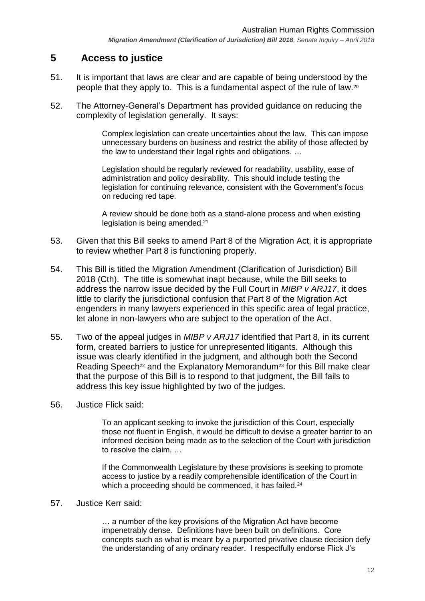# <span id="page-11-0"></span>**5 Access to justice**

- 51. It is important that laws are clear and are capable of being understood by the people that they apply to. This is a fundamental aspect of the rule of law.<sup>20</sup>
- 52. The Attorney-General's Department has provided guidance on reducing the complexity of legislation generally. It says:

Complex legislation can create uncertainties about the law. This can impose unnecessary burdens on business and restrict the ability of those affected by the law to understand their legal rights and obligations. …

Legislation should be regularly reviewed for readability, usability, ease of administration and policy desirability. This should include testing the legislation for continuing relevance, consistent with the Government's focus on reducing red tape.

A review should be done both as a stand-alone process and when existing legislation is being amended.<sup>21</sup>

- 53. Given that this Bill seeks to amend Part 8 of the Migration Act, it is appropriate to review whether Part 8 is functioning properly.
- 54. This Bill is titled the Migration Amendment (Clarification of Jurisdiction) Bill 2018 (Cth). The title is somewhat inapt because, while the Bill seeks to address the narrow issue decided by the Full Court in *MIBP v ARJ17*, it does little to clarify the jurisdictional confusion that Part 8 of the Migration Act engenders in many lawyers experienced in this specific area of legal practice, let alone in non-lawyers who are subject to the operation of the Act.
- 55. Two of the appeal judges in *MIBP v ARJ17* identified that Part 8, in its current form, created barriers to justice for unrepresented litigants. Although this issue was clearly identified in the judgment, and although both the Second Reading Speech<sup>22</sup> and the Explanatory Memorandum<sup>23</sup> for this Bill make clear that the purpose of this Bill is to respond to that judgment, the Bill fails to address this key issue highlighted by two of the judges.
- 56. Justice Flick said:

To an applicant seeking to invoke the jurisdiction of this Court, especially those not fluent in English, it would be difficult to devise a greater barrier to an informed decision being made as to the selection of the Court with jurisdiction to resolve the claim. …

If the Commonwealth Legislature by these provisions is seeking to promote access to justice by a readily comprehensible identification of the Court in which a proceeding should be commenced, it has failed.<sup>24</sup>

#### 57. Justice Kerr said:

… a number of the key provisions of the Migration Act have become impenetrably dense. Definitions have been built on definitions. Core concepts such as what is meant by a purported privative clause decision defy the understanding of any ordinary reader. I respectfully endorse Flick J's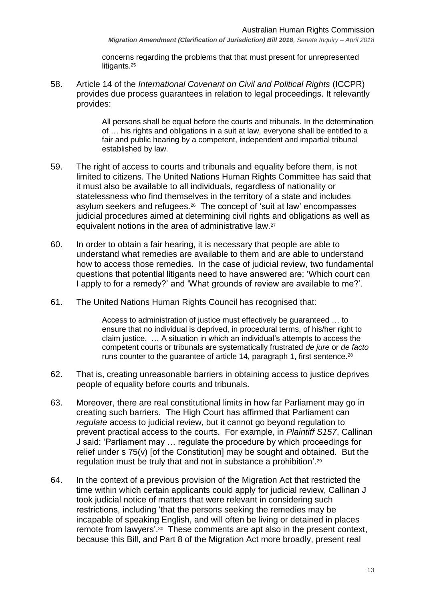*Migration Amendment (Clarification of Jurisdiction) Bill 2018, Senate Inquiry – April 2018*

concerns regarding the problems that that must present for unrepresented litigants.<sup>25</sup>

58. Article 14 of the *International Covenant on Civil and Political Rights* (ICCPR) provides due process guarantees in relation to legal proceedings. It relevantly provides:

> All persons shall be equal before the courts and tribunals. In the determination of … his rights and obligations in a suit at law, everyone shall be entitled to a fair and public hearing by a competent, independent and impartial tribunal established by law.

- 59. The right of access to courts and tribunals and equality before them, is not limited to citizens. The United Nations Human Rights Committee has said that it must also be available to all individuals, regardless of nationality or statelessness who find themselves in the territory of a state and includes asylum seekers and refugees.<sup>26</sup> The concept of 'suit at law' encompasses judicial procedures aimed at determining civil rights and obligations as well as equivalent notions in the area of administrative law.<sup>27</sup>
- 60. In order to obtain a fair hearing, it is necessary that people are able to understand what remedies are available to them and are able to understand how to access those remedies. In the case of judicial review, two fundamental questions that potential litigants need to have answered are: 'Which court can I apply to for a remedy?' and 'What grounds of review are available to me?'.
- 61. The United Nations Human Rights Council has recognised that:

Access to administration of justice must effectively be guaranteed … to ensure that no individual is deprived, in procedural terms, of his/her right to claim justice. … A situation in which an individual's attempts to access the competent courts or tribunals are systematically frustrated *de jure* or *de facto* runs counter to the guarantee of article 14, paragraph 1, first sentence.<sup>28</sup>

- 62. That is, creating unreasonable barriers in obtaining access to justice deprives people of equality before courts and tribunals.
- 63. Moreover, there are real constitutional limits in how far Parliament may go in creating such barriers. The High Court has affirmed that Parliament can *regulate* access to judicial review, but it cannot go beyond regulation to prevent practical access to the courts. For example, in *Plaintiff S157*, Callinan J said: 'Parliament may … regulate the procedure by which proceedings for relief under s 75(v) [of the Constitution] may be sought and obtained. But the regulation must be truly that and not in substance a prohibition'.<sup>29</sup>
- 64. In the context of a previous provision of the Migration Act that restricted the time within which certain applicants could apply for judicial review, Callinan J took judicial notice of matters that were relevant in considering such restrictions, including 'that the persons seeking the remedies may be incapable of speaking English, and will often be living or detained in places remote from lawyers'.<sup>30</sup> These comments are apt also in the present context, because this Bill, and Part 8 of the Migration Act more broadly, present real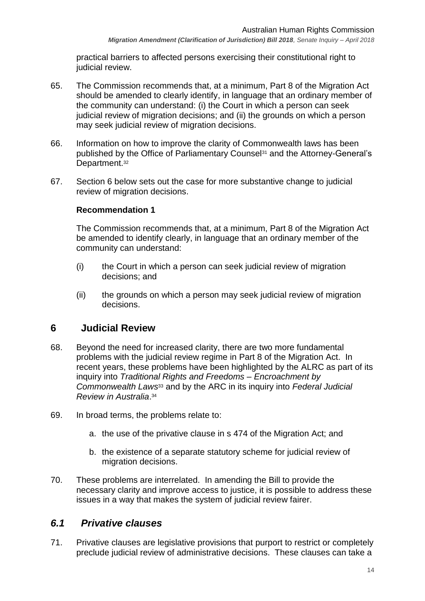practical barriers to affected persons exercising their constitutional right to judicial review.

- 65. The Commission recommends that, at a minimum, Part 8 of the Migration Act should be amended to clearly identify, in language that an ordinary member of the community can understand: (i) the Court in which a person can seek judicial review of migration decisions; and (ii) the grounds on which a person may seek judicial review of migration decisions.
- 66. Information on how to improve the clarity of Commonwealth laws has been published by the Office of Parliamentary Counsel<sup>31</sup> and the Attorney-General's Department.<sup>32</sup>
- 67. Section [6](#page-13-0) below sets out the case for more substantive change to judicial review of migration decisions.

#### **Recommendation 1**

The Commission recommends that, at a minimum, Part 8 of the Migration Act be amended to identify clearly, in language that an ordinary member of the community can understand:

- (i) the Court in which a person can seek judicial review of migration decisions; and
- (ii) the grounds on which a person may seek judicial review of migration decisions.

## <span id="page-13-0"></span>**6 Judicial Review**

- 68. Beyond the need for increased clarity, there are two more fundamental problems with the judicial review regime in Part 8 of the Migration Act. In recent years, these problems have been highlighted by the ALRC as part of its inquiry into *Traditional Rights and Freedoms – Encroachment by Commonwealth Laws*<sup>33</sup> and by the ARC in its inquiry into *Federal Judicial Review in Australia*. 34
- 69. In broad terms, the problems relate to:
	- a. the use of the privative clause in s 474 of the Migration Act; and
	- b. the existence of a separate statutory scheme for judicial review of migration decisions.
- 70. These problems are interrelated. In amending the Bill to provide the necessary clarity and improve access to justice, it is possible to address these issues in a way that makes the system of judicial review fairer.

## <span id="page-13-1"></span>*6.1 Privative clauses*

71. Privative clauses are legislative provisions that purport to restrict or completely preclude judicial review of administrative decisions. These clauses can take a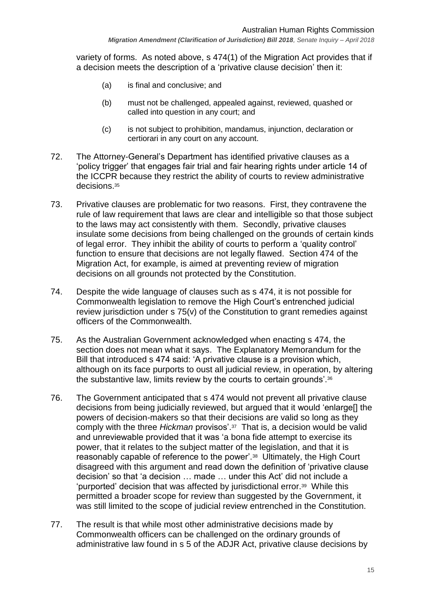*Migration Amendment (Clarification of Jurisdiction) Bill 2018, Senate Inquiry – April 2018*

variety of forms. As noted above, s 474(1) of the Migration Act provides that if a decision meets the description of a 'privative clause decision' then it:

- (a) is final and conclusive; and
- (b) must not be challenged, appealed against, reviewed, quashed or called into question in any court; and
- (c) is not subject to prohibition, mandamus, injunction, declaration or certiorari in any court on any account.
- 72. The Attorney-General's Department has identified privative clauses as a 'policy trigger' that engages fair trial and fair hearing rights under article 14 of the ICCPR because they restrict the ability of courts to review administrative decisions.<sup>35</sup>
- <span id="page-14-0"></span>73. Privative clauses are problematic for two reasons. First, they contravene the rule of law requirement that laws are clear and intelligible so that those subject to the laws may act consistently with them. Secondly, privative clauses insulate some decisions from being challenged on the grounds of certain kinds of legal error. They inhibit the ability of courts to perform a 'quality control' function to ensure that decisions are not legally flawed. Section 474 of the Migration Act, for example, is aimed at preventing review of migration decisions on all grounds not protected by the Constitution.
- 74. Despite the wide language of clauses such as s 474, it is not possible for Commonwealth legislation to remove the High Court's entrenched judicial review jurisdiction under s 75(v) of the Constitution to grant remedies against officers of the Commonwealth.
- 75. As the Australian Government acknowledged when enacting s 474, the section does not mean what it says. The Explanatory Memorandum for the Bill that introduced s 474 said: 'A privative clause is a provision which, although on its face purports to oust all judicial review, in operation, by altering the substantive law, limits review by the courts to certain grounds'.<sup>36</sup>
- 76. The Government anticipated that s 474 would not prevent all privative clause decisions from being judicially reviewed, but argued that it would 'enlarge[] the powers of decision-makers so that their decisions are valid so long as they comply with the three *Hickman* provisos'.<sup>37</sup> That is, a decision would be valid and unreviewable provided that it was 'a bona fide attempt to exercise its power, that it relates to the subject matter of the legislation, and that it is reasonably capable of reference to the power'.<sup>38</sup> Ultimately, the High Court disagreed with this argument and read down the definition of 'privative clause decision' so that 'a decision … made … under this Act' did not include a 'purported' decision that was affected by jurisdictional error.<sup>39</sup> While this permitted a broader scope for review than suggested by the Government, it was still limited to the scope of judicial review entrenched in the Constitution.
- 77. The result is that while most other administrative decisions made by Commonwealth officers can be challenged on the ordinary grounds of administrative law found in s 5 of the ADJR Act, privative clause decisions by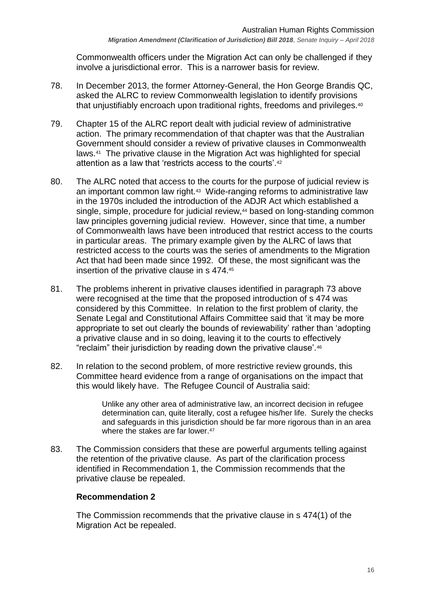Commonwealth officers under the Migration Act can only be challenged if they involve a jurisdictional error. This is a narrower basis for review.

- 78. In December 2013, the former Attorney-General, the Hon George Brandis QC, asked the ALRC to review Commonwealth legislation to identify provisions that unjustifiably encroach upon traditional rights, freedoms and privileges.<sup>40</sup>
- 79. Chapter 15 of the ALRC report dealt with judicial review of administrative action. The primary recommendation of that chapter was that the Australian Government should consider a review of privative clauses in Commonwealth laws.<sup>41</sup> The privative clause in the Migration Act was highlighted for special attention as a law that 'restricts access to the courts'.<sup>42</sup>
- 80. The ALRC noted that access to the courts for the purpose of judicial review is an important common law right.<sup>43</sup> Wide-ranging reforms to administrative law in the 1970s included the introduction of the ADJR Act which established a single, simple, procedure for judicial review, <sup>44</sup> based on long-standing common law principles governing judicial review. However, since that time, a number of Commonwealth laws have been introduced that restrict access to the courts in particular areas. The primary example given by the ALRC of laws that restricted access to the courts was the series of amendments to the Migration Act that had been made since 1992. Of these, the most significant was the insertion of the privative clause in s 474.<sup>45</sup>
- 81. The problems inherent in privative clauses identified in paragraph [73](#page-14-0) above were recognised at the time that the proposed introduction of s 474 was considered by this Committee. In relation to the first problem of clarity, the Senate Legal and Constitutional Affairs Committee said that 'it may be more appropriate to set out clearly the bounds of reviewability' rather than 'adopting a privative clause and in so doing, leaving it to the courts to effectively "reclaim" their jurisdiction by reading down the privative clause'.<sup>46</sup>
- 82. In relation to the second problem, of more restrictive review grounds, this Committee heard evidence from a range of organisations on the impact that this would likely have. The Refugee Council of Australia said:

Unlike any other area of administrative law, an incorrect decision in refugee determination can, quite literally, cost a refugee his/her life. Surely the checks and safeguards in this jurisdiction should be far more rigorous than in an area where the stakes are far lower.<sup>47</sup>

83. The Commission considers that these are powerful arguments telling against the retention of the privative clause. As part of the clarification process identified in Recommendation 1, the Commission recommends that the privative clause be repealed.

#### **Recommendation 2**

The Commission recommends that the privative clause in s 474(1) of the Migration Act be repealed.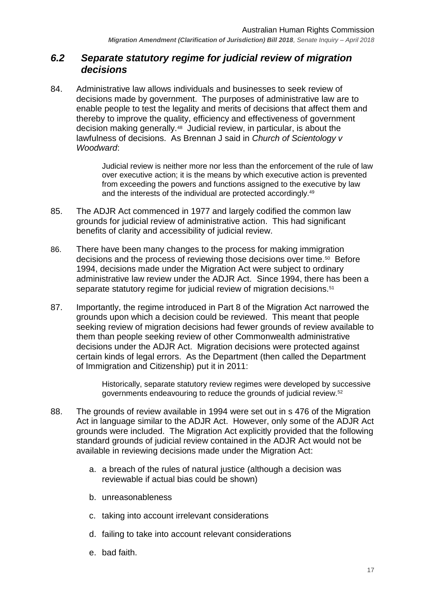## <span id="page-16-0"></span>*6.2 Separate statutory regime for judicial review of migration decisions*

84. Administrative law allows individuals and businesses to seek review of decisions made by government. The purposes of administrative law are to enable people to test the legality and merits of decisions that affect them and thereby to improve the quality, efficiency and effectiveness of government decision making generally.<sup>48</sup> Judicial review, in particular, is about the lawfulness of decisions. As Brennan J said in *Church of Scientology v Woodward*:

> Judicial review is neither more nor less than the enforcement of the rule of law over executive action; it is the means by which executive action is prevented from exceeding the powers and functions assigned to the executive by law and the interests of the individual are protected accordingly.<sup>49</sup>

- 85. The ADJR Act commenced in 1977 and largely codified the common law grounds for judicial review of administrative action. This had significant benefits of clarity and accessibility of judicial review.
- 86. There have been many changes to the process for making immigration decisions and the process of reviewing those decisions over time.<sup>50</sup> Before 1994, decisions made under the Migration Act were subject to ordinary administrative law review under the ADJR Act. Since 1994, there has been a separate statutory regime for judicial review of migration decisions.<sup>51</sup>
- 87. Importantly, the regime introduced in Part 8 of the Migration Act narrowed the grounds upon which a decision could be reviewed. This meant that people seeking review of migration decisions had fewer grounds of review available to them than people seeking review of other Commonwealth administrative decisions under the ADJR Act. Migration decisions were protected against certain kinds of legal errors. As the Department (then called the Department of Immigration and Citizenship) put it in 2011:

Historically, separate statutory review regimes were developed by successive governments endeavouring to reduce the grounds of judicial review.<sup>52</sup>

- 88. The grounds of review available in 1994 were set out in s 476 of the Migration Act in language similar to the ADJR Act. However, only some of the ADJR Act grounds were included. The Migration Act explicitly provided that the following standard grounds of judicial review contained in the ADJR Act would not be available in reviewing decisions made under the Migration Act:
	- a. a breach of the rules of natural justice (although a decision was reviewable if actual bias could be shown)
	- b. unreasonableness
	- c. taking into account irrelevant considerations
	- d. failing to take into account relevant considerations
	- e. bad faith.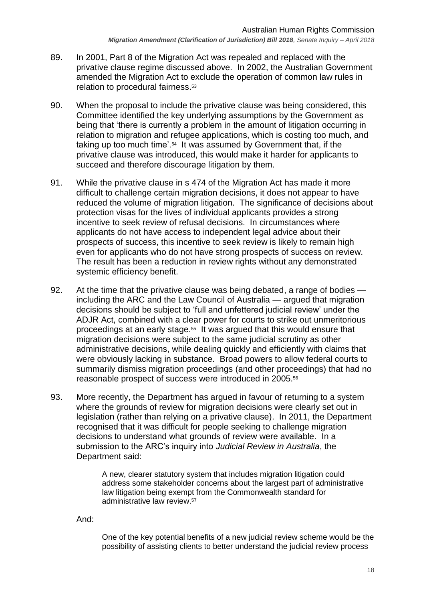- 89. In 2001, Part 8 of the Migration Act was repealed and replaced with the privative clause regime discussed above. In 2002, the Australian Government amended the Migration Act to exclude the operation of common law rules in relation to procedural fairness.<sup>53</sup>
- 90. When the proposal to include the privative clause was being considered, this Committee identified the key underlying assumptions by the Government as being that 'there is currently a problem in the amount of litigation occurring in relation to migration and refugee applications, which is costing too much, and taking up too much time'.<sup>54</sup> It was assumed by Government that, if the privative clause was introduced, this would make it harder for applicants to succeed and therefore discourage litigation by them.
- 91. While the privative clause in s 474 of the Migration Act has made it more difficult to challenge certain migration decisions, it does not appear to have reduced the volume of migration litigation. The significance of decisions about protection visas for the lives of individual applicants provides a strong incentive to seek review of refusal decisions. In circumstances where applicants do not have access to independent legal advice about their prospects of success, this incentive to seek review is likely to remain high even for applicants who do not have strong prospects of success on review. The result has been a reduction in review rights without any demonstrated systemic efficiency benefit.
- 92. At the time that the privative clause was being debated, a range of bodies including the ARC and the Law Council of Australia — argued that migration decisions should be subject to 'full and unfettered judicial review' under the ADJR Act, combined with a clear power for courts to strike out unmeritorious proceedings at an early stage.<sup>55</sup> It was argued that this would ensure that migration decisions were subject to the same judicial scrutiny as other administrative decisions, while dealing quickly and efficiently with claims that were obviously lacking in substance. Broad powers to allow federal courts to summarily dismiss migration proceedings (and other proceedings) that had no reasonable prospect of success were introduced in 2005.<sup>56</sup>
- 93. More recently, the Department has argued in favour of returning to a system where the grounds of review for migration decisions were clearly set out in legislation (rather than relying on a privative clause). In 2011, the Department recognised that it was difficult for people seeking to challenge migration decisions to understand what grounds of review were available. In a submission to the ARC's inquiry into *Judicial Review in Australia*, the Department said:

A new, clearer statutory system that includes migration litigation could address some stakeholder concerns about the largest part of administrative law litigation being exempt from the Commonwealth standard for administrative law review.<sup>57</sup>

And:

One of the key potential benefits of a new judicial review scheme would be the possibility of assisting clients to better understand the judicial review process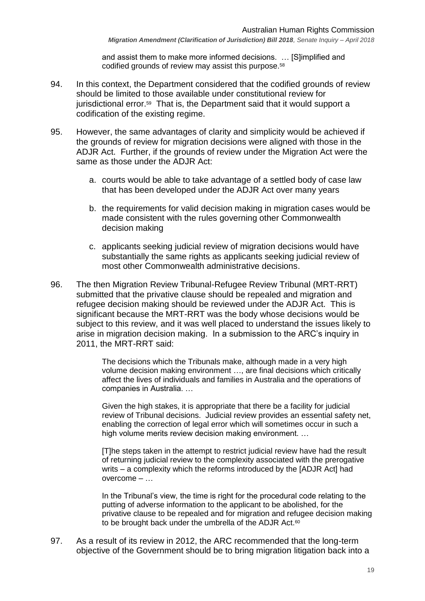and assist them to make more informed decisions. … [S]implified and codified grounds of review may assist this purpose.<sup>58</sup>

- 94. In this context, the Department considered that the codified grounds of review should be limited to those available under constitutional review for jurisdictional error.<sup>59</sup> That is, the Department said that it would support a codification of the existing regime.
- 95. However, the same advantages of clarity and simplicity would be achieved if the grounds of review for migration decisions were aligned with those in the ADJR Act. Further, if the grounds of review under the Migration Act were the same as those under the ADJR Act:
	- a. courts would be able to take advantage of a settled body of case law that has been developed under the ADJR Act over many years
	- b. the requirements for valid decision making in migration cases would be made consistent with the rules governing other Commonwealth decision making
	- c. applicants seeking judicial review of migration decisions would have substantially the same rights as applicants seeking judicial review of most other Commonwealth administrative decisions.
- 96. The then Migration Review Tribunal-Refugee Review Tribunal (MRT-RRT) submitted that the privative clause should be repealed and migration and refugee decision making should be reviewed under the ADJR Act. This is significant because the MRT-RRT was the body whose decisions would be subject to this review, and it was well placed to understand the issues likely to arise in migration decision making. In a submission to the ARC's inquiry in 2011, the MRT-RRT said:

The decisions which the Tribunals make, although made in a very high volume decision making environment …, are final decisions which critically affect the lives of individuals and families in Australia and the operations of companies in Australia. …

Given the high stakes, it is appropriate that there be a facility for judicial review of Tribunal decisions. Judicial review provides an essential safety net, enabling the correction of legal error which will sometimes occur in such a high volume merits review decision making environment. …

[T]he steps taken in the attempt to restrict judicial review have had the result of returning judicial review to the complexity associated with the prerogative writs – a complexity which the reforms introduced by the [ADJR Act] had overcome – …

In the Tribunal's view, the time is right for the procedural code relating to the putting of adverse information to the applicant to be abolished, for the privative clause to be repealed and for migration and refugee decision making to be brought back under the umbrella of the ADJR Act.<sup>60</sup>

97. As a result of its review in 2012, the ARC recommended that the long-term objective of the Government should be to bring migration litigation back into a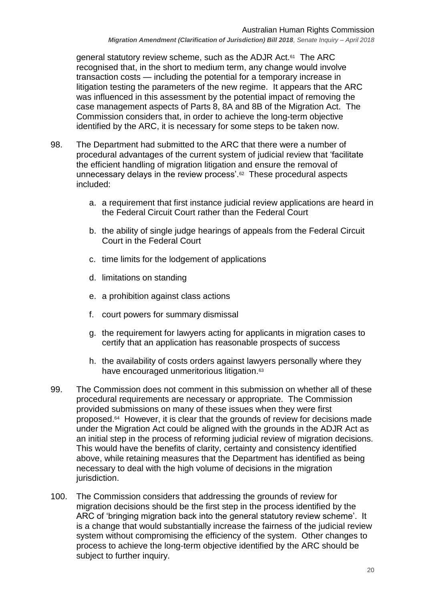general statutory review scheme, such as the ADJR Act.<sup>61</sup> The ARC recognised that, in the short to medium term, any change would involve transaction costs — including the potential for a temporary increase in litigation testing the parameters of the new regime. It appears that the ARC was influenced in this assessment by the potential impact of removing the case management aspects of Parts 8, 8A and 8B of the Migration Act. The Commission considers that, in order to achieve the long-term objective identified by the ARC, it is necessary for some steps to be taken now.

- 98. The Department had submitted to the ARC that there were a number of procedural advantages of the current system of judicial review that 'facilitate the efficient handling of migration litigation and ensure the removal of unnecessary delays in the review process'.<sup>62</sup> These procedural aspects included:
	- a. a requirement that first instance judicial review applications are heard in the Federal Circuit Court rather than the Federal Court
	- b. the ability of single judge hearings of appeals from the Federal Circuit Court in the Federal Court
	- c. time limits for the lodgement of applications
	- d. limitations on standing
	- e. a prohibition against class actions
	- f. court powers for summary dismissal
	- g. the requirement for lawyers acting for applicants in migration cases to certify that an application has reasonable prospects of success
	- h. the availability of costs orders against lawyers personally where they have encouraged unmeritorious litigation.<sup>63</sup>
- 99. The Commission does not comment in this submission on whether all of these procedural requirements are necessary or appropriate. The Commission provided submissions on many of these issues when they were first proposed.<sup>64</sup> However, it is clear that the grounds of review for decisions made under the Migration Act could be aligned with the grounds in the ADJR Act as an initial step in the process of reforming judicial review of migration decisions. This would have the benefits of clarity, certainty and consistency identified above, while retaining measures that the Department has identified as being necessary to deal with the high volume of decisions in the migration jurisdiction.
- 100. The Commission considers that addressing the grounds of review for migration decisions should be the first step in the process identified by the ARC of 'bringing migration back into the general statutory review scheme'. It is a change that would substantially increase the fairness of the judicial review system without compromising the efficiency of the system. Other changes to process to achieve the long-term objective identified by the ARC should be subject to further inquiry.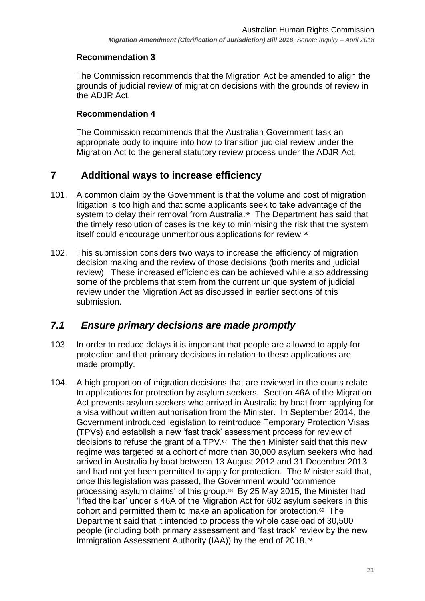## **Recommendation 3**

The Commission recommends that the Migration Act be amended to align the grounds of judicial review of migration decisions with the grounds of review in the ADJR Act.

### **Recommendation 4**

The Commission recommends that the Australian Government task an appropriate body to inquire into how to transition judicial review under the Migration Act to the general statutory review process under the ADJR Act.

## <span id="page-20-0"></span>**7 Additional ways to increase efficiency**

- 101. A common claim by the Government is that the volume and cost of migration litigation is too high and that some applicants seek to take advantage of the system to delay their removal from Australia. 65 The Department has said that the timely resolution of cases is the key to minimising the risk that the system itself could encourage unmeritorious applications for review.<sup>66</sup>
- 102. This submission considers two ways to increase the efficiency of migration decision making and the review of those decisions (both merits and judicial review). These increased efficiencies can be achieved while also addressing some of the problems that stem from the current unique system of judicial review under the Migration Act as discussed in earlier sections of this submission.

## <span id="page-20-1"></span>*7.1 Ensure primary decisions are made promptly*

- 103. In order to reduce delays it is important that people are allowed to apply for protection and that primary decisions in relation to these applications are made promptly.
- 104. A high proportion of migration decisions that are reviewed in the courts relate to applications for protection by asylum seekers. Section 46A of the Migration Act prevents asylum seekers who arrived in Australia by boat from applying for a visa without written authorisation from the Minister. In September 2014, the Government introduced legislation to reintroduce Temporary Protection Visas (TPVs) and establish a new 'fast track' assessment process for review of decisions to refuse the grant of a TPV.<sup>67</sup> The then Minister said that this new regime was targeted at a cohort of more than 30,000 asylum seekers who had arrived in Australia by boat between 13 August 2012 and 31 December 2013 and had not yet been permitted to apply for protection. The Minister said that, once this legislation was passed, the Government would 'commence processing asylum claims' of this group. 68 By 25 May 2015, the Minister had 'lifted the bar' under s 46A of the Migration Act for 602 asylum seekers in this cohort and permitted them to make an application for protection.<sup>69</sup> The Department said that it intended to process the whole caseload of 30,500 people (including both primary assessment and 'fast track' review by the new Immigration Assessment Authority (IAA)) by the end of 2018.<sup>70</sup>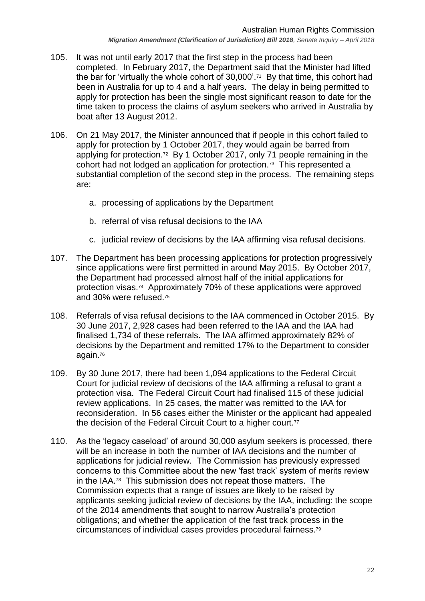*Migration Amendment (Clarification of Jurisdiction) Bill 2018, Senate Inquiry – April 2018*

- 105. It was not until early 2017 that the first step in the process had been completed. In February 2017, the Department said that the Minister had lifted the bar for 'virtually the whole cohort of 30,000'.<sup>71</sup> By that time, this cohort had been in Australia for up to 4 and a half years. The delay in being permitted to apply for protection has been the single most significant reason to date for the time taken to process the claims of asylum seekers who arrived in Australia by boat after 13 August 2012.
- 106. On 21 May 2017, the Minister announced that if people in this cohort failed to apply for protection by 1 October 2017, they would again be barred from applying for protection.<sup>72</sup> By 1 October 2017, only 71 people remaining in the cohort had not lodged an application for protection.<sup>73</sup> This represented a substantial completion of the second step in the process. The remaining steps are:
	- a. processing of applications by the Department
	- b. referral of visa refusal decisions to the IAA
	- c. judicial review of decisions by the IAA affirming visa refusal decisions.
- 107. The Department has been processing applications for protection progressively since applications were first permitted in around May 2015. By October 2017, the Department had processed almost half of the initial applications for protection visas. 74 Approximately 70% of these applications were approved and 30% were refused.<sup>75</sup>
- 108. Referrals of visa refusal decisions to the IAA commenced in October 2015. By 30 June 2017, 2,928 cases had been referred to the IAA and the IAA had finalised 1,734 of these referrals. The IAA affirmed approximately 82% of decisions by the Department and remitted 17% to the Department to consider again.<sup>76</sup>
- 109. By 30 June 2017, there had been 1,094 applications to the Federal Circuit Court for judicial review of decisions of the IAA affirming a refusal to grant a protection visa. The Federal Circuit Court had finalised 115 of these judicial review applications. In 25 cases, the matter was remitted to the IAA for reconsideration. In 56 cases either the Minister or the applicant had appealed the decision of the Federal Circuit Court to a higher court.<sup>77</sup>
- 110. As the 'legacy caseload' of around 30,000 asylum seekers is processed, there will be an increase in both the number of IAA decisions and the number of applications for judicial review. The Commission has previously expressed concerns to this Committee about the new 'fast track' system of merits review in the IAA.<sup>78</sup> This submission does not repeat those matters. The Commission expects that a range of issues are likely to be raised by applicants seeking judicial review of decisions by the IAA, including: the scope of the 2014 amendments that sought to narrow Australia's protection obligations; and whether the application of the fast track process in the circumstances of individual cases provides procedural fairness.79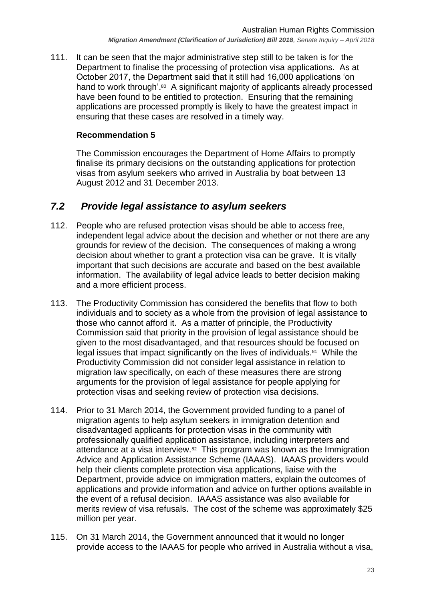111. It can be seen that the major administrative step still to be taken is for the Department to finalise the processing of protection visa applications. As at October 2017, the Department said that it still had 16,000 applications 'on hand to work through'.<sup>80</sup> A significant majority of applicants already processed have been found to be entitled to protection. Ensuring that the remaining applications are processed promptly is likely to have the greatest impact in ensuring that these cases are resolved in a timely way.

## **Recommendation 5**

The Commission encourages the Department of Home Affairs to promptly finalise its primary decisions on the outstanding applications for protection visas from asylum seekers who arrived in Australia by boat between 13 August 2012 and 31 December 2013.

# <span id="page-22-0"></span>*7.2 Provide legal assistance to asylum seekers*

- 112. People who are refused protection visas should be able to access free, independent legal advice about the decision and whether or not there are any grounds for review of the decision. The consequences of making a wrong decision about whether to grant a protection visa can be grave. It is vitally important that such decisions are accurate and based on the best available information. The availability of legal advice leads to better decision making and a more efficient process.
- 113. The Productivity Commission has considered the benefits that flow to both individuals and to society as a whole from the provision of legal assistance to those who cannot afford it. As a matter of principle, the Productivity Commission said that priority in the provision of legal assistance should be given to the most disadvantaged, and that resources should be focused on legal issues that impact significantly on the lives of individuals.<sup>81</sup> While the Productivity Commission did not consider legal assistance in relation to migration law specifically, on each of these measures there are strong arguments for the provision of legal assistance for people applying for protection visas and seeking review of protection visa decisions.
- 114. Prior to 31 March 2014, the Government provided funding to a panel of migration agents to help asylum seekers in immigration detention and disadvantaged applicants for protection visas in the community with professionally qualified application assistance, including interpreters and attendance at a visa interview.<sup>82</sup> This program was known as the Immigration Advice and Application Assistance Scheme (IAAAS). IAAAS providers would help their clients complete protection visa applications, liaise with the Department, provide advice on immigration matters, explain the outcomes of applications and provide information and advice on further options available in the event of a refusal decision. IAAAS assistance was also available for merits review of visa refusals. The cost of the scheme was approximately \$25 million per year.
- 115. On 31 March 2014, the Government announced that it would no longer provide access to the IAAAS for people who arrived in Australia without a visa,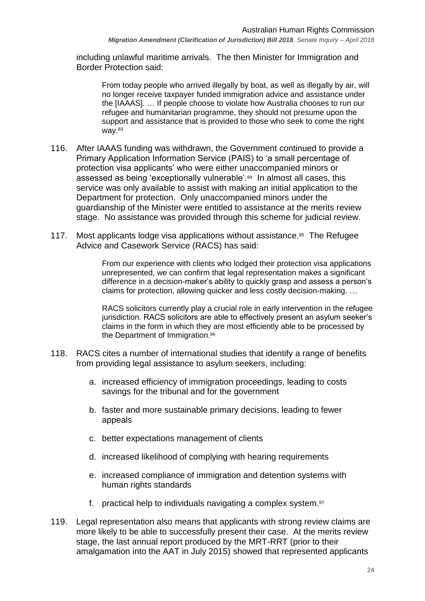including unlawful maritime arrivals. The then Minister for Immigration and Border Protection said:

From today people who arrived illegally by boat, as well as illegally by air, will no longer receive taxpayer funded immigration advice and assistance under the [IAAAS]. … If people choose to violate how Australia chooses to run our refugee and humanitarian programme, they should not presume upon the support and assistance that is provided to those who seek to come the right way.<sup>83</sup>

- 116. After IAAAS funding was withdrawn, the Government continued to provide a Primary Application Information Service (PAIS) to 'a small percentage of protection visa applicants' who were either unaccompanied minors or assessed as being 'exceptionally vulnerable'.<sup>84</sup> In almost all cases, this service was only available to assist with making an initial application to the Department for protection. Only unaccompanied minors under the guardianship of the Minister were entitled to assistance at the merits review stage. No assistance was provided through this scheme for judicial review.
- 117. Most applicants lodge visa applications without assistance.<sup>85</sup> The Refugee Advice and Casework Service (RACS) has said:

From our experience with clients who lodged their protection visa applications unrepresented, we can confirm that legal representation makes a significant difference in a decision-maker's ability to quickly grasp and assess a person's claims for protection, allowing quicker and less costly decision-making. …

RACS solicitors currently play a crucial role in early intervention in the refugee jurisdiction. RACS solicitors are able to effectively present an asylum seeker's claims in the form in which they are most efficiently able to be processed by the Department of Immigration.<sup>86</sup>

- 118. RACS cites a number of international studies that identify a range of benefits from providing legal assistance to asylum seekers, including:
	- a. increased efficiency of immigration proceedings, leading to costs savings for the tribunal and for the government
	- b. faster and more sustainable primary decisions, leading to fewer appeals
	- c. better expectations management of clients
	- d. increased likelihood of complying with hearing requirements
	- e. increased compliance of immigration and detention systems with human rights standards
	- f. practical help to individuals navigating a complex system.<sup>87</sup>
- 119. Legal representation also means that applicants with strong review claims are more likely to be able to successfully present their case. At the merits review stage, the last annual report produced by the MRT-RRT (prior to their amalgamation into the AAT in July 2015) showed that represented applicants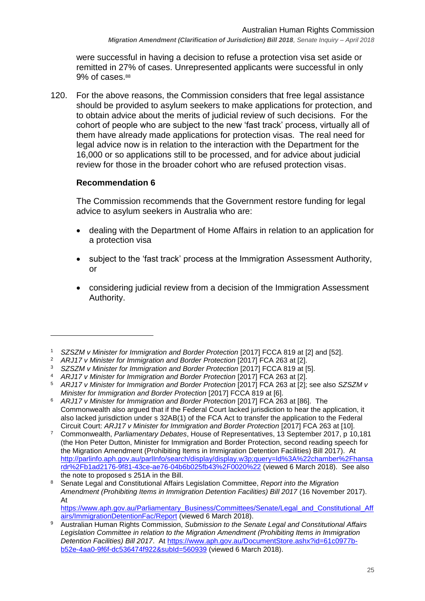were successful in having a decision to refuse a protection visa set aside or remitted in 27% of cases. Unrepresented applicants were successful in only 9% of cases.<sup>88</sup>

120. For the above reasons, the Commission considers that free legal assistance should be provided to asylum seekers to make applications for protection, and to obtain advice about the merits of judicial review of such decisions. For the cohort of people who are subject to the new 'fast track' process, virtually all of them have already made applications for protection visas. The real need for legal advice now is in relation to the interaction with the Department for the 16,000 or so applications still to be processed, and for advice about judicial review for those in the broader cohort who are refused protection visas.

## **Recommendation 6**

 $\overline{a}$ 

The Commission recommends that the Government restore funding for legal advice to asylum seekers in Australia who are:

- dealing with the Department of Home Affairs in relation to an application for a protection visa
- subject to the 'fast track' process at the Immigration Assessment Authority, or
- considering judicial review from a decision of the Immigration Assessment Authority.

<sup>8</sup> Senate Legal and Constitutional Affairs Legislation Committee, *Report into the Migration Amendment (Prohibiting Items in Immigration Detention Facilities) Bill 2017* (16 November 2017). At

[https://www.aph.gov.au/Parliamentary\\_Business/Committees/Senate/Legal\\_and\\_Constitutional\\_Aff](https://www.aph.gov.au/Parliamentary_Business/Committees/Senate/Legal_and_Constitutional_Affairs/ImmigrationDetentionFac/Report) [airs/ImmigrationDetentionFac/Report](https://www.aph.gov.au/Parliamentary_Business/Committees/Senate/Legal_and_Constitutional_Affairs/ImmigrationDetentionFac/Report) (viewed 6 March 2018).

<sup>1</sup> *SZSZM v Minister for Immigration and Border Protection* [2017] FCCA 819 at [2] and [52].

<sup>2</sup> *ARJ17 v Minister for Immigration and Border Protection* [2017] FCA 263 at [2].

<sup>3</sup> *SZSZM v Minister for Immigration and Border Protection* [2017] FCCA 819 at [5]. <sup>4</sup> *ARJ17 v Minister for Immigration and Border Protection* [2017] FCA 263 at [2].

<sup>5</sup> *ARJ17 v Minister for Immigration and Border Protection* [2017] FCA 263 at [2]; see also *SZSZM v Minister for Immigration and Border Protection* [2017] FCCA 819 at [6].

<sup>6</sup> *ARJ17 v Minister for Immigration and Border Protection* [2017] FCA 263 at [86]. The Commonwealth also argued that if the Federal Court lacked jurisdiction to hear the application, it also lacked jurisdiction under s 32AB(1) of the FCA Act to transfer the application to the Federal Circuit Court: *ARJ17 v Minister for Immigration and Border Protection* [2017] FCA 263 at [10].

<sup>7</sup> Commonwealth, *Parliamentary Debates*, House of Representatives, 13 September 2017, p 10,181 (the Hon Peter Dutton, Minister for Immigration and Border Protection, second reading speech for the Migration Amendment (Prohibiting Items in Immigration Detention Facilities) Bill 2017). At [http://parlinfo.aph.gov.au/parlInfo/search/display/display.w3p;query=Id%3A%22chamber%2Fhansa](http://parlinfo.aph.gov.au/parlInfo/search/display/display.w3p;query=Id%3A%22chamber%2Fhansardr%2Fb1ad2176-9f81-43ce-ae76-04b6b025fb43%2F0020%22) [rdr%2Fb1ad2176-9f81-43ce-ae76-04b6b025fb43%2F0020%22](http://parlinfo.aph.gov.au/parlInfo/search/display/display.w3p;query=Id%3A%22chamber%2Fhansardr%2Fb1ad2176-9f81-43ce-ae76-04b6b025fb43%2F0020%22) (viewed 6 March 2018). See also the note to proposed s 251A in the Bill.

<sup>9</sup> Australian Human Rights Commission, *Submission to the Senate Legal and Constitutional Affairs Legislation Committee in relation to the Migration Amendment (Prohibiting Items in Immigration Detention Facilities) Bill 2017*. At [https://www.aph.gov.au/DocumentStore.ashx?id=61c0977b](https://www.aph.gov.au/DocumentStore.ashx?id=61c0977b-b52e-4aa0-9f6f-dc536474f922&subId=560939)[b52e-4aa0-9f6f-dc536474f922&subId=560939](https://www.aph.gov.au/DocumentStore.ashx?id=61c0977b-b52e-4aa0-9f6f-dc536474f922&subId=560939) (viewed 6 March 2018).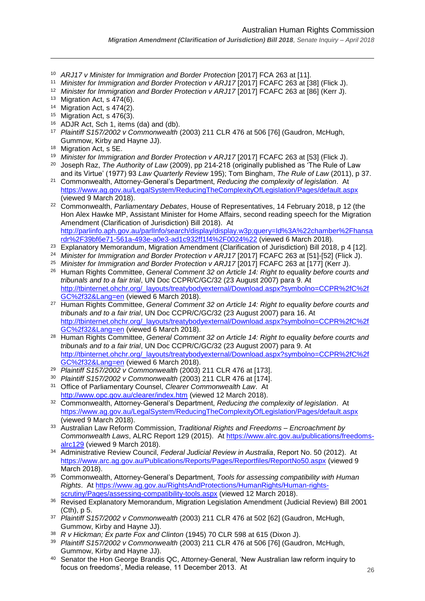- <sup>10</sup> *ARJ17 v Minister for Immigration and Border Protection* [2017] FCA 263 at [11].
- <sup>11</sup> *Minister for Immigration and Border Protection v ARJ17* [2017] FCAFC 263 at [38] (Flick J).
- <sup>12</sup> *Minister for Immigration and Border Protection v ARJ17* [2017] FCAFC 263 at [86] (Kerr J).
- <sup>13</sup> Migration Act, s 474(6).

 $\overline{a}$ 

- <sup>14</sup> Migration Act, s 474(2).
- <sup>15</sup> Migration Act, s 476(3).
- <sup>16</sup> ADJR Act, Sch 1, items (da) and (db).
- <sup>17</sup> *Plaintiff S157/2002 v Commonwealth* (2003) 211 CLR 476 at 506 [76] (Gaudron, McHugh, Gummow, Kirby and Hayne JJ).
- <sup>18</sup> Migration Act, s 5E.
- <sup>19</sup> *Minister for Immigration and Border Protection v ARJ17* [2017] FCAFC 263 at [53] (Flick J).
- <sup>20</sup> Joseph Raz, *The Authority of Law* (2009), pp 214-218 (originally published as 'The Rule of Law and its Virtue' (1977) 93 *Law Quarterly Review* 195); Tom Bingham, *The Rule of Law* (2011), p 37.
- <sup>21</sup> Commonwealth, Attorney-General's Department, *Reducing the complexity of legislation*. At <https://www.ag.gov.au/LegalSystem/ReducingTheComplexityOfLegislation/Pages/default.aspx> (viewed 9 March 2018).
- <sup>22</sup> Commonwealth, *Parliamentary Debates*, House of Representatives, 14 February 2018, p 12 (the Hon Alex Hawke MP, Assistant Minister for Home Affairs, second reading speech for the Migration Amendment (Clarification of Jurisdiction) Bill 2018). At [http://parlinfo.aph.gov.au/parlInfo/search/display/display.w3p;query=Id%3A%22chamber%2Fhansa](http://parlinfo.aph.gov.au/parlInfo/search/display/display.w3p;query=Id%3A%22chamber%2Fhansardr%2F39bf6e71-561a-493e-a0e3-ad1c932ff1f4%2F0024%22)
- [rdr%2F39bf6e71-561a-493e-a0e3-ad1c932ff1f4%2F0024%22](http://parlinfo.aph.gov.au/parlInfo/search/display/display.w3p;query=Id%3A%22chamber%2Fhansardr%2F39bf6e71-561a-493e-a0e3-ad1c932ff1f4%2F0024%22) (viewed 6 March 2018).
- <sup>23</sup> Explanatory Memorandum, Migration Amendment (Clarification of Jurisdiction) Bill 2018, p 4 [12].
- <sup>24</sup> Minister for Immigration and Border Protection v ARJ17 [2017] FCAFC 263 at [51]-[52] (Flick J).
- <sup>25</sup> Minister for Immigration and Border Protection v ARJ17 [2017] FCAFC 263 at [177] (Kerr J). <sup>26</sup> Human Rights Committee, *General Comment 32 on Article 14: Right to equality before courts and tribunals and to a fair trial*, UN Doc CCPR/C/GC/32 (23 August 2007) para 9. At [http://tbinternet.ohchr.org/\\_layouts/treatybodyexternal/Download.aspx?symbolno=CCPR%2fC%2f](http://tbinternet.ohchr.org/_layouts/treatybodyexternal/Download.aspx?symbolno=CCPR%2fC%2fGC%2f32&Lang=en) [GC%2f32&Lang=en](http://tbinternet.ohchr.org/_layouts/treatybodyexternal/Download.aspx?symbolno=CCPR%2fC%2fGC%2f32&Lang=en) (viewed 6 March 2018).
- <sup>27</sup> Human Rights Committee, *General Comment 32 on Article 14: Right to equality before courts and tribunals and to a fair trial*, UN Doc CCPR/C/GC/32 (23 August 2007) para 16. At [http://tbinternet.ohchr.org/\\_layouts/treatybodyexternal/Download.aspx?symbolno=CCPR%2fC%2f](http://tbinternet.ohchr.org/_layouts/treatybodyexternal/Download.aspx?symbolno=CCPR%2fC%2fGC%2f32&Lang=en) [GC%2f32&Lang=en](http://tbinternet.ohchr.org/_layouts/treatybodyexternal/Download.aspx?symbolno=CCPR%2fC%2fGC%2f32&Lang=en) (viewed 6 March 2018).
- <sup>28</sup> Human Rights Committee, *General Comment 32 on Article 14: Right to equality before courts and tribunals and to a fair trial*, UN Doc CCPR/C/GC/32 (23 August 2007) para 9. At [http://tbinternet.ohchr.org/\\_layouts/treatybodyexternal/Download.aspx?symbolno=CCPR%2fC%2f](http://tbinternet.ohchr.org/_layouts/treatybodyexternal/Download.aspx?symbolno=CCPR%2fC%2fGC%2f32&Lang=en) [GC%2f32&Lang=en](http://tbinternet.ohchr.org/_layouts/treatybodyexternal/Download.aspx?symbolno=CCPR%2fC%2fGC%2f32&Lang=en) (viewed 6 March 2018).
- <sup>29</sup> *Plaintiff S157/2002 v Commonwealth* (2003) 211 CLR 476 at [173].
- <sup>30</sup> *Plaintiff S157/2002 v Commonwealth* (2003) 211 CLR 476 at [174].
- <sup>31</sup> Office of Parliamentary Counsel, *Clearer Commonwealth Law*. At <http://www.opc.gov.au/clearer/index.htm> (viewed 12 March 2018).
- <sup>32</sup> Commonwealth, Attorney-General's Department, *Reducing the complexity of legislation*. At <https://www.ag.gov.au/LegalSystem/ReducingTheComplexityOfLegislation/Pages/default.aspx> (viewed 9 March 2018).
- <sup>33</sup> Australian Law Reform Commission, *Traditional Rights and Freedoms – Encroachment by Commonwealth Laws*, ALRC Report 129 (2015). At [https://www.alrc.gov.au/publications/freedoms](https://www.alrc.gov.au/publications/freedoms-alrc129)[alrc129](https://www.alrc.gov.au/publications/freedoms-alrc129) (viewed 9 March 2018).
- <sup>34</sup> Administrative Review Council, *Federal Judicial Review in Australia*, Report No. 50 (2012). At <https://www.arc.ag.gov.au/Publications/Reports/Pages/Reportfiles/ReportNo50.aspx> (viewed 9 March 2018).
- <sup>35</sup> Commonwealth, Attorney-General's Department, *Tools for assessing compatibility with Human Rights*. At [https://www.ag.gov.au/RightsAndProtections/HumanRights/Human-rights](https://www.ag.gov.au/RightsAndProtections/HumanRights/Human-rights-scrutiny/Pages/assessing-compatibility-tools.aspx)[scrutiny/Pages/assessing-compatibility-tools.aspx](https://www.ag.gov.au/RightsAndProtections/HumanRights/Human-rights-scrutiny/Pages/assessing-compatibility-tools.aspx) (viewed 12 March 2018).
- <sup>36</sup> Revised Explanatory Memorandum, Migration Legislation Amendment (Judicial Review) Bill 2001 (Cth), p 5.
- <sup>37</sup> *Plaintiff S157/2002 v Commonwealth* (2003) 211 CLR 476 at 502 [62] (Gaudron, McHugh, Gummow, Kirby and Hayne JJ).
- <sup>38</sup> *R v Hickman; Ex parte Fox and Clinton* (1945) 70 CLR 598 at 615 (Dixon J).
- <sup>39</sup> *Plaintiff S157/2002 v Commonwealth* (2003) 211 CLR 476 at 506 [76] (Gaudron, McHugh, Gummow, Kirby and Hayne JJ).
- <sup>40</sup> Senator the Hon George Brandis QC, Attorney-General, 'New Australian law reform inquiry to focus on freedoms', Media release, 11 December 2013. At

*Migration Amendment (Clarification of Jurisdiction) Bill 2018, Senate Inquiry – April 2018*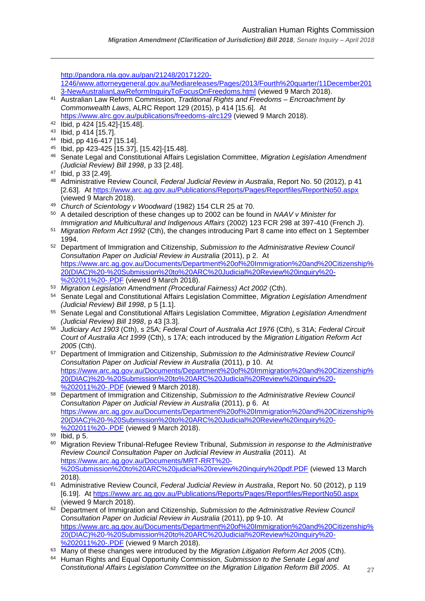*Migration Amendment (Clarification of Jurisdiction) Bill 2018, Senate Inquiry – April 2018*

 $\overline{a}$ 

[http://pandora.nla.gov.au/pan/21248/20171220-](http://pandora.nla.gov.au/pan/21248/20171220-1246/www.attorneygeneral.gov.au/Mediareleases/Pages/2013/Fourth%20quarter/11December2013-NewAustralianLawReformInquiryToFocusOnFreedoms.html) [1246/www.attorneygeneral.gov.au/Mediareleases/Pages/2013/Fourth%20quarter/11December201](http://pandora.nla.gov.au/pan/21248/20171220-1246/www.attorneygeneral.gov.au/Mediareleases/Pages/2013/Fourth%20quarter/11December2013-NewAustralianLawReformInquiryToFocusOnFreedoms.html) [3-NewAustralianLawReformInquiryToFocusOnFreedoms.html](http://pandora.nla.gov.au/pan/21248/20171220-1246/www.attorneygeneral.gov.au/Mediareleases/Pages/2013/Fourth%20quarter/11December2013-NewAustralianLawReformInquiryToFocusOnFreedoms.html) (viewed 9 March 2018). <sup>41</sup> Australian Law Reform Commission, *Traditional Rights and Freedoms – Encroachment by Commonwealth Laws*, ALRC Report 129 (2015), p 414 [15.6]. At <https://www.alrc.gov.au/publications/freedoms-alrc129> (viewed 9 March 2018). <sup>42</sup> Ibid, p 424 [15.42]-[15.48]. <sup>43</sup> Ibid, p 414 [15.7]. <sup>44</sup> Ibid, pp 416-417 [15.14]. <sup>45</sup> Ibid, pp 423-425 [15.37], [15.42]-[15.48]. <sup>46</sup> Senate Legal and Constitutional Affairs Legislation Committee, *Migration Legislation Amendment (Judicial Review) Bill 1998*, p 33 [2.48]. <sup>47</sup> Ibid, p 33 [2.49]. <sup>48</sup> Administrative Review Council, *Federal Judicial Review in Australia*, Report No. 50 (2012), p 41 [2.63]. At<https://www.arc.ag.gov.au/Publications/Reports/Pages/Reportfiles/ReportNo50.aspx> (viewed 9 March 2018). <sup>49</sup> *Church of Scientology v Woodward* (1982) 154 CLR 25 at 70. <sup>50</sup> A detailed description of these changes up to 2002 can be found in *NAAV v Minister for Immigration and Multicultural and Indigenous Affairs* (2002) 123 FCR 298 at 397-410 (French J). <sup>51</sup> *Migration Reform Act 1992* (Cth), the changes introducing Part 8 came into effect on 1 September 1994. <sup>52</sup> Department of Immigration and Citizenship, *Submission to the Administrative Review Council Consultation Paper on Judicial Review in Australia* (2011), p 2. At [https://www.arc.ag.gov.au/Documents/Department%20of%20Immigration%20and%20Citizenship%](https://www.arc.ag.gov.au/Documents/Department%20of%20Immigration%20and%20Citizenship%20(DIAC)%20-%20Submission%20to%20ARC%20Judicial%20Review%20inquiry%20-%202011%20-.PDF) [20\(DIAC\)%20-%20Submission%20to%20ARC%20Judicial%20Review%20inquiry%20-](https://www.arc.ag.gov.au/Documents/Department%20of%20Immigration%20and%20Citizenship%20(DIAC)%20-%20Submission%20to%20ARC%20Judicial%20Review%20inquiry%20-%202011%20-.PDF) [%202011%20-.PDF](https://www.arc.ag.gov.au/Documents/Department%20of%20Immigration%20and%20Citizenship%20(DIAC)%20-%20Submission%20to%20ARC%20Judicial%20Review%20inquiry%20-%202011%20-.PDF) (viewed 9 March 2018). <sup>53</sup> *Migration Legislation Amendment (Procedural Fairness) Act 2002* (Cth). <sup>54</sup> Senate Legal and Constitutional Affairs Legislation Committee, *Migration Legislation Amendment (Judicial Review) Bill 1998*, p 5 [1.1]. <sup>55</sup> Senate Legal and Constitutional Affairs Legislation Committee, *Migration Legislation Amendment (Judicial Review) Bill 1998*, p 43 [3.3]. <sup>56</sup> *Judiciary Act 1903* (Cth), s 25A; *Federal Court of Australia Act 1976* (Cth), s 31A; *Federal Circuit Court of Australia Act 1999* (Cth), s 17A; each introduced by the *Migration Litigation Reform Act 2005* (Cth). <sup>57</sup> Department of Immigration and Citizenship, *Submission to the Administrative Review Council Consultation Paper on Judicial Review in Australia* (2011), p 10. At [https://www.arc.ag.gov.au/Documents/Department%20of%20Immigration%20and%20Citizenship%](https://www.arc.ag.gov.au/Documents/Department%20of%20Immigration%20and%20Citizenship%20(DIAC)%20-%20Submission%20to%20ARC%20Judicial%20Review%20inquiry%20-%202011%20-.PDF) [20\(DIAC\)%20-%20Submission%20to%20ARC%20Judicial%20Review%20inquiry%20-](https://www.arc.ag.gov.au/Documents/Department%20of%20Immigration%20and%20Citizenship%20(DIAC)%20-%20Submission%20to%20ARC%20Judicial%20Review%20inquiry%20-%202011%20-.PDF) [%202011%20-.PDF](https://www.arc.ag.gov.au/Documents/Department%20of%20Immigration%20and%20Citizenship%20(DIAC)%20-%20Submission%20to%20ARC%20Judicial%20Review%20inquiry%20-%202011%20-.PDF) (viewed 9 March 2018). <sup>58</sup> Department of Immigration and Citizenship, *Submission to the Administrative Review Council Consultation Paper on Judicial Review in Australia* (2011), p 6. At [https://www.arc.ag.gov.au/Documents/Department%20of%20Immigration%20and%20Citizenship%](https://www.arc.ag.gov.au/Documents/Department%20of%20Immigration%20and%20Citizenship%20(DIAC)%20-%20Submission%20to%20ARC%20Judicial%20Review%20inquiry%20-%202011%20-.PDF) [20\(DIAC\)%20-%20Submission%20to%20ARC%20Judicial%20Review%20inquiry%20-](https://www.arc.ag.gov.au/Documents/Department%20of%20Immigration%20and%20Citizenship%20(DIAC)%20-%20Submission%20to%20ARC%20Judicial%20Review%20inquiry%20-%202011%20-.PDF) [%202011%20-.PDF](https://www.arc.ag.gov.au/Documents/Department%20of%20Immigration%20and%20Citizenship%20(DIAC)%20-%20Submission%20to%20ARC%20Judicial%20Review%20inquiry%20-%202011%20-.PDF) (viewed 9 March 2018). <sup>59</sup> Ibid, p 5. <sup>60</sup> Migration Review Tribunal-Refugee Review Tribunal, *Submission in response to the Administrative Review Council Consultation Paper on Judicial Review in Australia* (2011). At [https://www.arc.ag.gov.au/Documents/MRT-RRT%20-](https://www.arc.ag.gov.au/Documents/MRT-RRT%20-%20Submission%20to%20ARC%20judicial%20review%20inquiry%20pdf.PDF) [%20Submission%20to%20ARC%20judicial%20review%20inquiry%20pdf.PDF](https://www.arc.ag.gov.au/Documents/MRT-RRT%20-%20Submission%20to%20ARC%20judicial%20review%20inquiry%20pdf.PDF) (viewed 13 March 2018). <sup>61</sup> Administrative Review Council, *Federal Judicial Review in Australia*, Report No. 50 (2012), p 119 [6.19]. At<https://www.arc.ag.gov.au/Publications/Reports/Pages/Reportfiles/ReportNo50.aspx> (viewed 9 March 2018). <sup>62</sup> Department of Immigration and Citizenship, *Submission to the Administrative Review Council Consultation Paper on Judicial Review in Australia* (2011), pp 9-10. At

[https://www.arc.ag.gov.au/Documents/Department%20of%20Immigration%20and%20Citizenship%](https://www.arc.ag.gov.au/Documents/Department%20of%20Immigration%20and%20Citizenship%20(DIAC)%20-%20Submission%20to%20ARC%20Judicial%20Review%20inquiry%20-%202011%20-.PDF) [20\(DIAC\)%20-%20Submission%20to%20ARC%20Judicial%20Review%20inquiry%20-](https://www.arc.ag.gov.au/Documents/Department%20of%20Immigration%20and%20Citizenship%20(DIAC)%20-%20Submission%20to%20ARC%20Judicial%20Review%20inquiry%20-%202011%20-.PDF) [%202011%20-.PDF](https://www.arc.ag.gov.au/Documents/Department%20of%20Immigration%20and%20Citizenship%20(DIAC)%20-%20Submission%20to%20ARC%20Judicial%20Review%20inquiry%20-%202011%20-.PDF) (viewed 9 March 2018).

<sup>63</sup> Many of these changes were introduced by the *Migration Litigation Reform Act 2005* (Cth).

<sup>64</sup> Human Rights and Equal Opportunity Commission, *Submission to the Senate Legal and Constitutional Affairs Legislation Committee on the Migration Litigation Reform Bill 2005*. At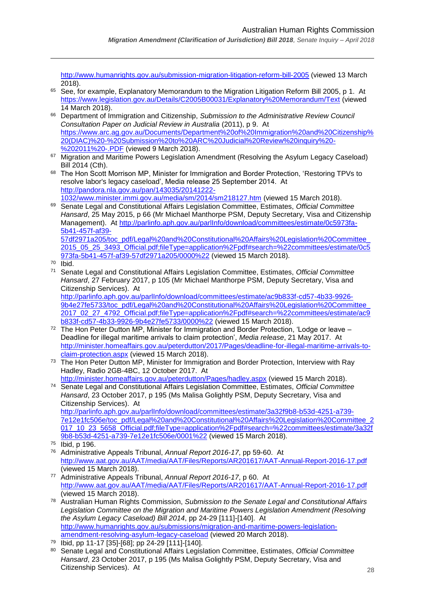<http://www.humanrights.gov.au/submission-migration-litigation-reform-bill-2005> (viewed 13 March 2018).

- <sup>65</sup> See, for example, Explanatory Memorandum to the Migration Litigation Reform Bill 2005, p 1. At <https://www.legislation.gov.au/Details/C2005B00031/Explanatory%20Memorandum/Text> (viewed 14 March 2018).
- <sup>66</sup> Department of Immigration and Citizenship, *Submission to the Administrative Review Council Consultation Paper on Judicial Review in Australia* (2011), p 9. At [https://www.arc.ag.gov.au/Documents/Department%20of%20Immigration%20and%20Citizenship%](https://www.arc.ag.gov.au/Documents/Department%20of%20Immigration%20and%20Citizenship%20(DIAC)%20-%20Submission%20to%20ARC%20Judicial%20Review%20inquiry%20-%202011%20-.PDF) [20\(DIAC\)%20-%20Submission%20to%20ARC%20Judicial%20Review%20inquiry%20-](https://www.arc.ag.gov.au/Documents/Department%20of%20Immigration%20and%20Citizenship%20(DIAC)%20-%20Submission%20to%20ARC%20Judicial%20Review%20inquiry%20-%202011%20-.PDF) [%202011%20-.PDF](https://www.arc.ag.gov.au/Documents/Department%20of%20Immigration%20and%20Citizenship%20(DIAC)%20-%20Submission%20to%20ARC%20Judicial%20Review%20inquiry%20-%202011%20-.PDF) (viewed 9 March 2018).
- 67 Migration and Maritime Powers Legislation Amendment (Resolving the Asylum Legacy Caseload) Bill 2014 (Cth).
- 68 The Hon Scott Morrison MP, Minister for Immigration and Border Protection, 'Restoring TPVs to resolve labor's legacy caseload', Media release 25 September 2014. At [http://pandora.nla.gov.au/pan/143035/20141222-](http://pandora.nla.gov.au/pan/143035/20141222-1032/www.minister.immi.gov.au/media/sm/2014/sm218127.htm) [1032/www.minister.immi.gov.au/media/sm/2014/sm218127.htm](http://pandora.nla.gov.au/pan/143035/20141222-1032/www.minister.immi.gov.au/media/sm/2014/sm218127.htm) (viewed 15 March 2018).
- <sup>69</sup> Senate Legal and Constitutional Affairs Legislation Committee, Estimates, *Official Committee Hansard*, 25 May 2015, p 66 (Mr Michael Manthorpe PSM, Deputy Secretary, Visa and Citizenship Management). At [http://parlinfo.aph.gov.au/parlInfo/download/committees/estimate/0c5973fa-](http://parlinfo.aph.gov.au/parlInfo/download/committees/estimate/0c5973fa-5b41-457f-af39-57df2971a205/toc_pdf/Legal%20and%20Constitutional%20Affairs%20Legislation%20Committee_2015_05_25_3493_Official.pdf;fileType=application%2Fpdf#search=%22committees/estimate/0c5973fa-5b41-457f-af39-57df2971a205/0000%22)[5b41-457f-af39-](http://parlinfo.aph.gov.au/parlInfo/download/committees/estimate/0c5973fa-5b41-457f-af39-57df2971a205/toc_pdf/Legal%20and%20Constitutional%20Affairs%20Legislation%20Committee_2015_05_25_3493_Official.pdf;fileType=application%2Fpdf#search=%22committees/estimate/0c5973fa-5b41-457f-af39-57df2971a205/0000%22) [57df2971a205/toc\\_pdf/Legal%20and%20Constitutional%20Affairs%20Legislation%20Committee\\_](http://parlinfo.aph.gov.au/parlInfo/download/committees/estimate/0c5973fa-5b41-457f-af39-57df2971a205/toc_pdf/Legal%20and%20Constitutional%20Affairs%20Legislation%20Committee_2015_05_25_3493_Official.pdf;fileType=application%2Fpdf#search=%22committees/estimate/0c5973fa-5b41-457f-af39-57df2971a205/0000%22)
	- [2015\\_05\\_25\\_3493\\_Official.pdf;fileType=application%2Fpdf#search=%22committees/estimate/0c5](http://parlinfo.aph.gov.au/parlInfo/download/committees/estimate/0c5973fa-5b41-457f-af39-57df2971a205/toc_pdf/Legal%20and%20Constitutional%20Affairs%20Legislation%20Committee_2015_05_25_3493_Official.pdf;fileType=application%2Fpdf#search=%22committees/estimate/0c5973fa-5b41-457f-af39-57df2971a205/0000%22) [973fa-5b41-457f-af39-57df2971a205/0000%22](http://parlinfo.aph.gov.au/parlInfo/download/committees/estimate/0c5973fa-5b41-457f-af39-57df2971a205/toc_pdf/Legal%20and%20Constitutional%20Affairs%20Legislation%20Committee_2015_05_25_3493_Official.pdf;fileType=application%2Fpdf#search=%22committees/estimate/0c5973fa-5b41-457f-af39-57df2971a205/0000%22) (viewed 15 March 2018).
- <sup>70</sup> Ibid.

 $\overline{a}$ 

<sup>71</sup> Senate Legal and Constitutional Affairs Legislation Committee, Estimates, *Official Committee Hansard*, 27 February 2017, p 105 (Mr Michael Manthorpe PSM, Deputy Secretary, Visa and Citizenship Services). At

[http://parlinfo.aph.gov.au/parlInfo/download/committees/estimate/ac9b833f-cd57-4b33-9926-](http://parlinfo.aph.gov.au/parlInfo/download/committees/estimate/ac9b833f-cd57-4b33-9926-9b4e27fe5733/toc_pdf/Legal%20and%20Constitutional%20Affairs%20Legislation%20Committee_2017_02_27_4792_Official.pdf;fileType=application%2Fpdf#search=%22committees/estimate/ac9b833f-cd57-4b33-9926-9b4e27fe5733/0000%22) [9b4e27fe5733/toc\\_pdf/Legal%20and%20Constitutional%20Affairs%20Legislation%20Committee\\_](http://parlinfo.aph.gov.au/parlInfo/download/committees/estimate/ac9b833f-cd57-4b33-9926-9b4e27fe5733/toc_pdf/Legal%20and%20Constitutional%20Affairs%20Legislation%20Committee_2017_02_27_4792_Official.pdf;fileType=application%2Fpdf#search=%22committees/estimate/ac9b833f-cd57-4b33-9926-9b4e27fe5733/0000%22) [2017\\_02\\_27\\_4792\\_Official.pdf;fileType=application%2Fpdf#search=%22committees/estimate/ac9](http://parlinfo.aph.gov.au/parlInfo/download/committees/estimate/ac9b833f-cd57-4b33-9926-9b4e27fe5733/toc_pdf/Legal%20and%20Constitutional%20Affairs%20Legislation%20Committee_2017_02_27_4792_Official.pdf;fileType=application%2Fpdf#search=%22committees/estimate/ac9b833f-cd57-4b33-9926-9b4e27fe5733/0000%22) [b833f-cd57-4b33-9926-9b4e27fe5733/0000%22](http://parlinfo.aph.gov.au/parlInfo/download/committees/estimate/ac9b833f-cd57-4b33-9926-9b4e27fe5733/toc_pdf/Legal%20and%20Constitutional%20Affairs%20Legislation%20Committee_2017_02_27_4792_Official.pdf;fileType=application%2Fpdf#search=%22committees/estimate/ac9b833f-cd57-4b33-9926-9b4e27fe5733/0000%22) (viewed 15 March 2018).

- <sup>72</sup> The Hon Peter Dutton MP, Minister for Immigration and Border Protection, 'Lodge or leave Deadline for illegal maritime arrivals to claim protection', *Media release*, 21 May 2017. At [http://minister.homeaffairs.gov.au/peterdutton/2017/Pages/deadline-for-illegal-maritime-arrivals-to](http://minister.homeaffairs.gov.au/peterdutton/2017/Pages/deadline-for-illegal-maritime-arrivals-to-claim-protection.aspx)[claim-protection.aspx](http://minister.homeaffairs.gov.au/peterdutton/2017/Pages/deadline-for-illegal-maritime-arrivals-to-claim-protection.aspx) (viewed 15 March 2018).
- <sup>73</sup> The Hon Peter Dutton MP, Minister for Immigration and Border Protection, Interview with Ray Hadley, Radio 2GB-4BC, 12 October 2017. At
- <http://minister.homeaffairs.gov.au/peterdutton/Pages/hadley.aspx> (viewed 15 March 2018). <sup>74</sup> Senate Legal and Constitutional Affairs Legislation Committee, Estimates, *Official Committee Hansard*, 23 October 2017, p 195 (Ms Malisa Golightly PSM, Deputy Secretary, Visa and

Citizenship Services). At [http://parlinfo.aph.gov.au/parlInfo/download/committees/estimate/3a32f9b8-b53d-4251-a739-](http://parlinfo.aph.gov.au/parlInfo/download/committees/estimate/3a32f9b8-b53d-4251-a739-7e12e1fc506e/toc_pdf/Legal%20and%20Constitutional%20Affairs%20Legislation%20Committee_2017_10_23_5658_Official.pdf;fileType=application%2Fpdf#search=%22committees/estimate/3a32f9b8-b53d-4251-a739-7e12e1fc506e/0001%22) [7e12e1fc506e/toc\\_pdf/Legal%20and%20Constitutional%20Affairs%20Legislation%20Committee\\_2](http://parlinfo.aph.gov.au/parlInfo/download/committees/estimate/3a32f9b8-b53d-4251-a739-7e12e1fc506e/toc_pdf/Legal%20and%20Constitutional%20Affairs%20Legislation%20Committee_2017_10_23_5658_Official.pdf;fileType=application%2Fpdf#search=%22committees/estimate/3a32f9b8-b53d-4251-a739-7e12e1fc506e/0001%22) [017\\_10\\_23\\_5658\\_Official.pdf;fileType=application%2Fpdf#search=%22committees/estimate/3a32f](http://parlinfo.aph.gov.au/parlInfo/download/committees/estimate/3a32f9b8-b53d-4251-a739-7e12e1fc506e/toc_pdf/Legal%20and%20Constitutional%20Affairs%20Legislation%20Committee_2017_10_23_5658_Official.pdf;fileType=application%2Fpdf#search=%22committees/estimate/3a32f9b8-b53d-4251-a739-7e12e1fc506e/0001%22) [9b8-b53d-4251-a739-7e12e1fc506e/0001%22](http://parlinfo.aph.gov.au/parlInfo/download/committees/estimate/3a32f9b8-b53d-4251-a739-7e12e1fc506e/toc_pdf/Legal%20and%20Constitutional%20Affairs%20Legislation%20Committee_2017_10_23_5658_Official.pdf;fileType=application%2Fpdf#search=%22committees/estimate/3a32f9b8-b53d-4251-a739-7e12e1fc506e/0001%22) (viewed 15 March 2018).

- <sup>76</sup> Administrative Appeals Tribunal, *Annual Report 2016-17*, pp 59-60. At <http://www.aat.gov.au/AAT/media/AAT/Files/Reports/AR201617/AAT-Annual-Report-2016-17.pdf> (viewed 15 March 2018).
- <sup>77</sup> Administrative Appeals Tribunal, *Annual Report 2016-17*, p 60. At <http://www.aat.gov.au/AAT/media/AAT/Files/Reports/AR201617/AAT-Annual-Report-2016-17.pdf> (viewed 15 March 2018).
- <sup>78</sup> Australian Human Rights Commission, *Submission to the Senate Legal and Constitutional Affairs*  Legislation Committee on the Migration and Maritime Powers Legislation Amendment (Resolving *the Asylum Legacy Caseload) Bill 2014*, pp 24-29 [111]-[140]. At [http://www.humanrights.gov.au/submissions/migration-and-maritime-powers-legislation](http://www.humanrights.gov.au/submissions/migration-and-maritime-powers-legislation-amendment-resolving-asylum-legacy-caseload)[amendment-resolving-asylum-legacy-caseload](http://www.humanrights.gov.au/submissions/migration-and-maritime-powers-legislation-amendment-resolving-asylum-legacy-caseload) (viewed 20 March 2018).
- <sup>79</sup> Ibid, pp 11-17 [35]-[68]; pp 24-29 [111]-[140].
- <sup>80</sup> Senate Legal and Constitutional Affairs Legislation Committee, Estimates, *Official Committee Hansard*, 23 October 2017, p 195 (Ms Malisa Golightly PSM, Deputy Secretary, Visa and Citizenship Services). At

<sup>75</sup> Ibid, p 196.